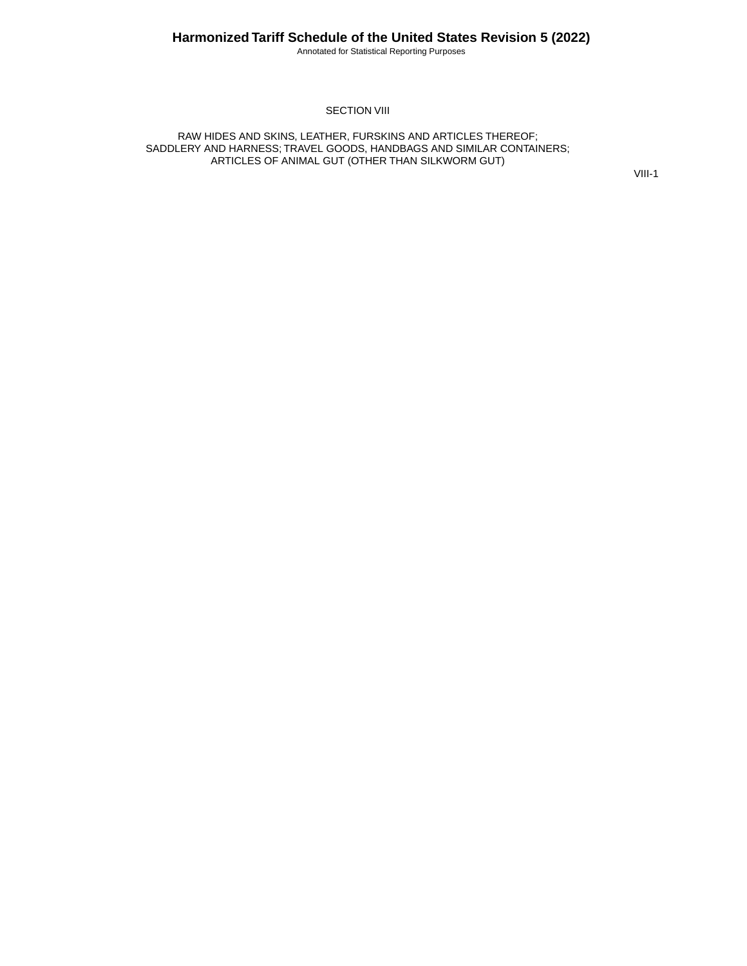Annotated for Statistical Reporting Purposes

#### SECTION VIII

RAW HIDES AND SKINS, LEATHER, FURSKINS AND ARTICLES THEREOF; SADDLERY AND HARNESS; TRAVEL GOODS, HANDBAGS AND SIMILAR CONTAINERS; ARTICLES OF ANIMAL GUT (OTHER THAN SILKWORM GUT)

VIII-1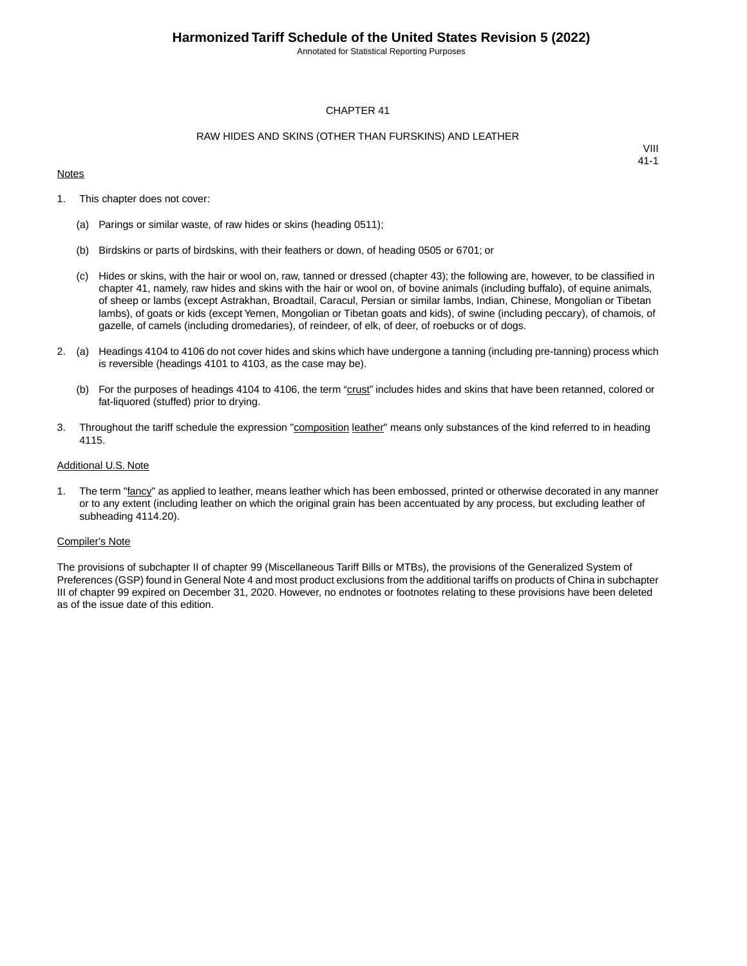Annotated for Statistical Reporting Purposes

#### CHAPTER 41

#### RAW HIDES AND SKINS (OTHER THAN FURSKINS) AND LEATHER

#### **Notes**

VIII 41-1

- 1. This chapter does not cover:
	- (a) Parings or similar waste, of raw hides or skins (heading 0511);
	- (b) Birdskins or parts of birdskins, with their feathers or down, of heading 0505 or 6701; or
	- (c) Hides or skins, with the hair or wool on, raw, tanned or dressed (chapter 43); the following are, however, to be classified in chapter 41, namely, raw hides and skins with the hair or wool on, of bovine animals (including buffalo), of equine animals, of sheep or lambs (except Astrakhan, Broadtail, Caracul, Persian or similar lambs, Indian, Chinese, Mongolian or Tibetan lambs), of goats or kids (except Yemen, Mongolian or Tibetan goats and kids), of swine (including peccary), of chamois, of gazelle, of camels (including dromedaries), of reindeer, of elk, of deer, of roebucks or of dogs.
- 2. (a) Headings 4104 to 4106 do not cover hides and skins which have undergone a tanning (including pre-tanning) process which is reversible (headings 4101 to 4103, as the case may be).
	- (b) For the purposes of headings 4104 to 4106, the term "crust" includes hides and skins that have been retanned, colored or fat-liquored (stuffed) prior to drying.
- 3. Throughout the tariff schedule the expression "composition leather" means only substances of the kind referred to in heading 4115.

#### Additional U.S. Note

1. The term "fancy" as applied to leather, means leather which has been embossed, printed or otherwise decorated in any manner or to any extent (including leather on which the original grain has been accentuated by any process, but excluding leather of subheading 4114.20).

#### Compiler's Note

The provisions of subchapter II of chapter 99 (Miscellaneous Tariff Bills or MTBs), the provisions of the Generalized System of Preferences (GSP) found in General Note 4 and most product exclusions from the additional tariffs on products of China in subchapter III of chapter 99 expired on December 31, 2020. However, no endnotes or footnotes relating to these provisions have been deleted as of the issue date of this edition.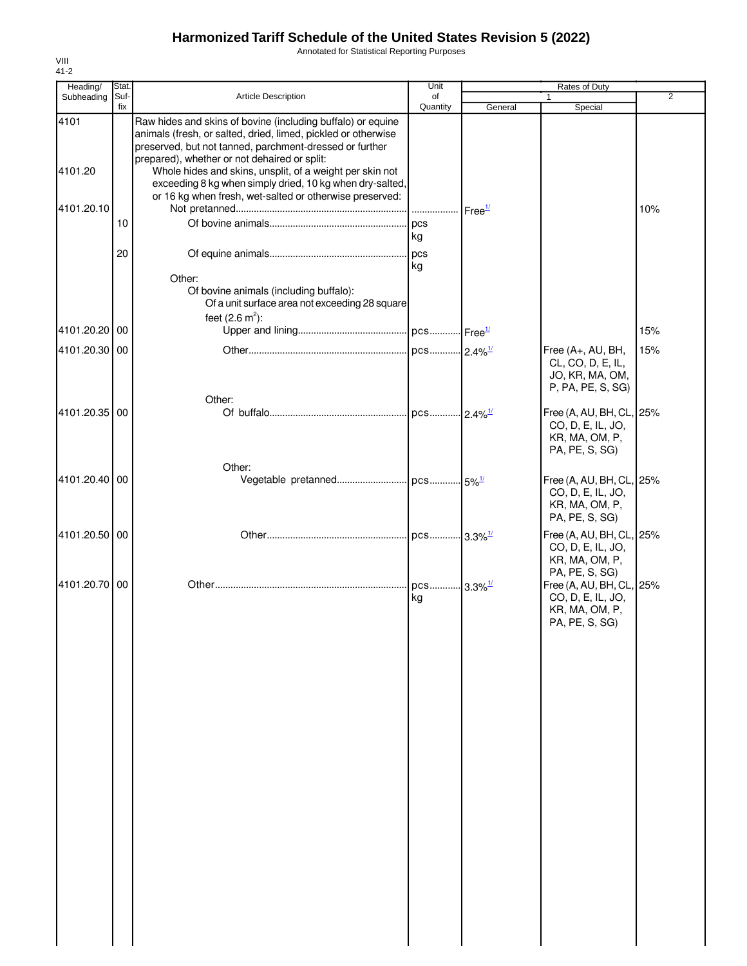Annotated for Statistical Reporting Purposes

| Heading/      | Stat. |                                                                                                                                                                                                                                         | Unit                   |                    | Rates of Duty                                                                     |                |
|---------------|-------|-----------------------------------------------------------------------------------------------------------------------------------------------------------------------------------------------------------------------------------------|------------------------|--------------------|-----------------------------------------------------------------------------------|----------------|
| Subheading    | Suf-  | Article Description                                                                                                                                                                                                                     | of                     |                    |                                                                                   | $\overline{2}$ |
| 4101          | fix   | Raw hides and skins of bovine (including buffalo) or equine<br>animals (fresh, or salted, dried, limed, pickled or otherwise<br>preserved, but not tanned, parchment-dressed or further<br>prepared), whether or not dehaired or split: | Quantity               | General            | Special                                                                           |                |
| 4101.20       |       | Whole hides and skins, unsplit, of a weight per skin not<br>exceeding 8 kg when simply dried, 10 kg when dry-salted,<br>or 16 kg when fresh, wet-salted or otherwise preserved:                                                         |                        |                    |                                                                                   |                |
| 4101.20.10    |       |                                                                                                                                                                                                                                         |                        | Free <sup>1/</sup> |                                                                                   | 10%            |
|               | 10    |                                                                                                                                                                                                                                         |                        |                    |                                                                                   |                |
|               |       |                                                                                                                                                                                                                                         | kg                     |                    |                                                                                   |                |
|               | 20    |                                                                                                                                                                                                                                         | log<br>kg              |                    |                                                                                   |                |
|               |       | Other:<br>Of bovine animals (including buffalo):<br>Of a unit surface area not exceeding 28 square<br>feet $(2.6 \text{ m}^2)$ :                                                                                                        |                        |                    |                                                                                   |                |
| 4101.20.20    | 00    |                                                                                                                                                                                                                                         |                        |                    |                                                                                   | 15%            |
| 4101.20.30 00 |       |                                                                                                                                                                                                                                         |                        |                    | Free (A+, AU, BH,                                                                 | 15%            |
|               |       | Other:                                                                                                                                                                                                                                  |                        |                    | CL, CO, D, E, IL,<br>JO, KR, MA, OM,<br>P, PA, PE, S, SG)                         |                |
| 4101.20.35 00 |       |                                                                                                                                                                                                                                         |                        |                    | Free (A, AU, BH, CL, 25%<br>CO, D, E, IL, JO,<br>KR, MA, OM, P,<br>PA, PE, S, SG) |                |
|               |       | Other:                                                                                                                                                                                                                                  |                        |                    |                                                                                   |                |
| 4101.20.40 00 |       |                                                                                                                                                                                                                                         |                        |                    | Free (A, AU, BH, CL, 25%<br>CO, D, E, IL, JO,<br>KR, MA, OM, P,<br>PA, PE, S, SG) |                |
| 4101.20.50 00 |       |                                                                                                                                                                                                                                         |                        |                    | Free (A, AU, BH, CL, 25%<br>CO, D, E, IL, JO,<br>KR, MA, OM, P,                   |                |
| 4101.20.70 00 |       |                                                                                                                                                                                                                                         | pcs 3.3% <sup>1/</sup> |                    | PA, PE, S, SG)<br>Free (A, AU, BH, CL, 25%                                        |                |
|               |       |                                                                                                                                                                                                                                         | kg                     |                    | CO, D, E, IL, JO,<br>KR, MA, OM, P,<br>PA, PE, S, SG)                             |                |
|               |       |                                                                                                                                                                                                                                         |                        |                    |                                                                                   |                |
|               |       |                                                                                                                                                                                                                                         |                        |                    |                                                                                   |                |
|               |       |                                                                                                                                                                                                                                         |                        |                    |                                                                                   |                |
|               |       |                                                                                                                                                                                                                                         |                        |                    |                                                                                   |                |
|               |       |                                                                                                                                                                                                                                         |                        |                    |                                                                                   |                |
|               |       |                                                                                                                                                                                                                                         |                        |                    |                                                                                   |                |
|               |       |                                                                                                                                                                                                                                         |                        |                    |                                                                                   |                |
|               |       |                                                                                                                                                                                                                                         |                        |                    |                                                                                   |                |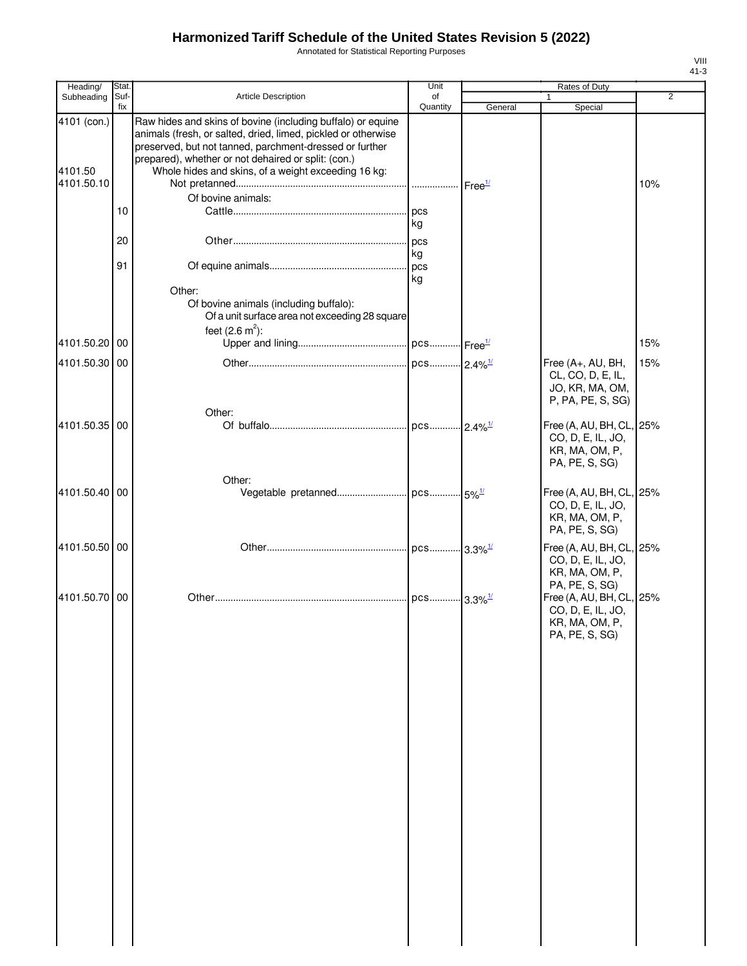Annotated for Statistical Reporting Purposes

| Heading/                             | Stat.       |                                                                                                                                                                                                                                                                                                       | Unit           |         | Rates of Duty                                                                                       |                |
|--------------------------------------|-------------|-------------------------------------------------------------------------------------------------------------------------------------------------------------------------------------------------------------------------------------------------------------------------------------------------------|----------------|---------|-----------------------------------------------------------------------------------------------------|----------------|
| Subheading                           | Suf-<br>fix | Article Description                                                                                                                                                                                                                                                                                   | of<br>Quantity | General | Special                                                                                             | $\overline{2}$ |
| 4101 (con.)<br>4101.50<br>4101.50.10 |             | Raw hides and skins of bovine (including buffalo) or equine<br>animals (fresh, or salted, dried, limed, pickled or otherwise<br>preserved, but not tanned, parchment-dressed or further<br>prepared), whether or not dehaired or split: (con.)<br>Whole hides and skins, of a weight exceeding 16 kg: |                |         |                                                                                                     | 10%            |
|                                      | 10          | Of bovine animals:                                                                                                                                                                                                                                                                                    | kg             |         |                                                                                                     |                |
|                                      | 20          |                                                                                                                                                                                                                                                                                                       | . pcs<br>kg    |         |                                                                                                     |                |
|                                      | 91          | Other:<br>Of bovine animals (including buffalo):<br>Of a unit surface area not exceeding 28 square<br>feet $(2.6 \text{ m}^2)$ :                                                                                                                                                                      | pcs<br>kg      |         |                                                                                                     |                |
| 4101.50.20 00                        |             |                                                                                                                                                                                                                                                                                                       |                |         |                                                                                                     | 15%            |
| 4101.50.30 00                        |             |                                                                                                                                                                                                                                                                                                       |                |         | Free (A+, AU, BH,<br>CL, CO, D, E, IL,<br>JO, KR, MA, OM,<br>P, PA, PE, S, SG)                      | 15%            |
| 4101.50.35 00                        |             | Other:                                                                                                                                                                                                                                                                                                |                |         | Free (A, AU, BH, CL, 25%<br>CO, D, E, IL, JO,<br>KR, MA, OM, P,<br>PA, PE, S, SG)                   |                |
| 4101.50.40 00                        |             | Other:                                                                                                                                                                                                                                                                                                |                |         | Free (A, AU, BH, CL, 25%<br>CO, D, E, IL, JO,<br>KR, MA, OM, P,<br>PA, PE, S, SG)                   |                |
| 4101.50.50 00                        |             |                                                                                                                                                                                                                                                                                                       |                |         | Free (A, AU, BH, CL, 25%<br>CO, D, E, IL, JO,<br>KR, MA, OM, P,                                     |                |
| 4101.50.70 00                        |             |                                                                                                                                                                                                                                                                                                       |                |         | PA, PE, S, SG)<br>Free (A, AU, BH, CL, 25%<br>CO, D, E, IL, JO,<br>KR, MA, OM, P,<br>PA, PE, S, SG) |                |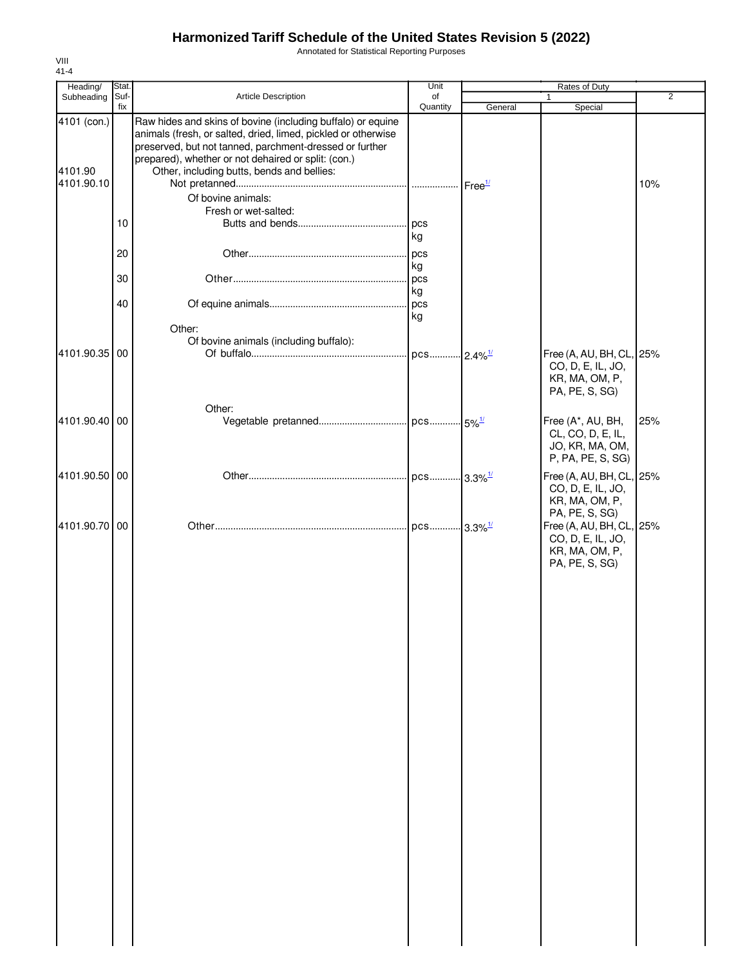Annotated for Statistical Reporting Purposes

| Heading/              | Stat.    |                                                                                                                                                                                         | Unit                     |         | Rates of Duty                                                   |     |
|-----------------------|----------|-----------------------------------------------------------------------------------------------------------------------------------------------------------------------------------------|--------------------------|---------|-----------------------------------------------------------------|-----|
| Subheading            | Suf-     | Article Description                                                                                                                                                                     | of                       |         |                                                                 | 2   |
| 4101 (con.)           | fix      | Raw hides and skins of bovine (including buffalo) or equine<br>animals (fresh, or salted, dried, limed, pickled or otherwise<br>preserved, but not tanned, parchment-dressed or further | Quantity                 | General | Special                                                         |     |
| 4101.90<br>4101.90.10 |          | prepared), whether or not dehaired or split: (con.)<br>Other, including butts, bends and bellies:                                                                                       |                          |         |                                                                 | 10% |
|                       |          | Of bovine animals:                                                                                                                                                                      |                          |         |                                                                 |     |
|                       |          | Fresh or wet-salted:                                                                                                                                                                    |                          |         |                                                                 |     |
|                       | 10       |                                                                                                                                                                                         | pcs<br>kg                |         |                                                                 |     |
|                       | 20<br>30 |                                                                                                                                                                                         | pcs<br>kg<br>pcs         |         |                                                                 |     |
|                       |          |                                                                                                                                                                                         | kg                       |         |                                                                 |     |
|                       | 40       |                                                                                                                                                                                         | pcs<br>kg                |         |                                                                 |     |
|                       |          | Other:<br>Of bovine animals (including buffalo):                                                                                                                                        |                          |         |                                                                 |     |
| 4101.90.35 00         |          |                                                                                                                                                                                         | . pcs 2.4% <sup>1/</sup> |         | Free (A, AU, BH, CL, 25%<br>CO, D, E, IL, JO,<br>KR, MA, OM, P, |     |
|                       |          |                                                                                                                                                                                         |                          |         | PA, PE, S, SG)                                                  |     |
|                       |          | Other:                                                                                                                                                                                  |                          |         |                                                                 |     |
| 4101.90.40 00         |          |                                                                                                                                                                                         |                          |         | Free (A*, AU, BH,<br>CL, CO, D, E, IL,<br>JO, KR, MA, OM,       | 25% |
| 4101.90.50 00         |          |                                                                                                                                                                                         |                          |         | P, PA, PE, S, SG)<br>Free (A, AU, BH, CL, 25%                   |     |
|                       |          |                                                                                                                                                                                         |                          |         | CO, D, E, IL, JO,<br>KR, MA, OM, P,                             |     |
| 4101.90.70 00         |          |                                                                                                                                                                                         |                          |         | PA, PE, S, SG)<br>Free (A, AU, BH, CL, 25%<br>CO, D, E, IL, JO, |     |
|                       |          |                                                                                                                                                                                         |                          |         | KR, MA, OM, P,<br>PA, PE, S, SG)                                |     |
|                       |          |                                                                                                                                                                                         |                          |         |                                                                 |     |
|                       |          |                                                                                                                                                                                         |                          |         |                                                                 |     |
|                       |          |                                                                                                                                                                                         |                          |         |                                                                 |     |
|                       |          |                                                                                                                                                                                         |                          |         |                                                                 |     |
|                       |          |                                                                                                                                                                                         |                          |         |                                                                 |     |
|                       |          |                                                                                                                                                                                         |                          |         |                                                                 |     |
|                       |          |                                                                                                                                                                                         |                          |         |                                                                 |     |
|                       |          |                                                                                                                                                                                         |                          |         |                                                                 |     |
|                       |          |                                                                                                                                                                                         |                          |         |                                                                 |     |
|                       |          |                                                                                                                                                                                         |                          |         |                                                                 |     |
|                       |          |                                                                                                                                                                                         |                          |         |                                                                 |     |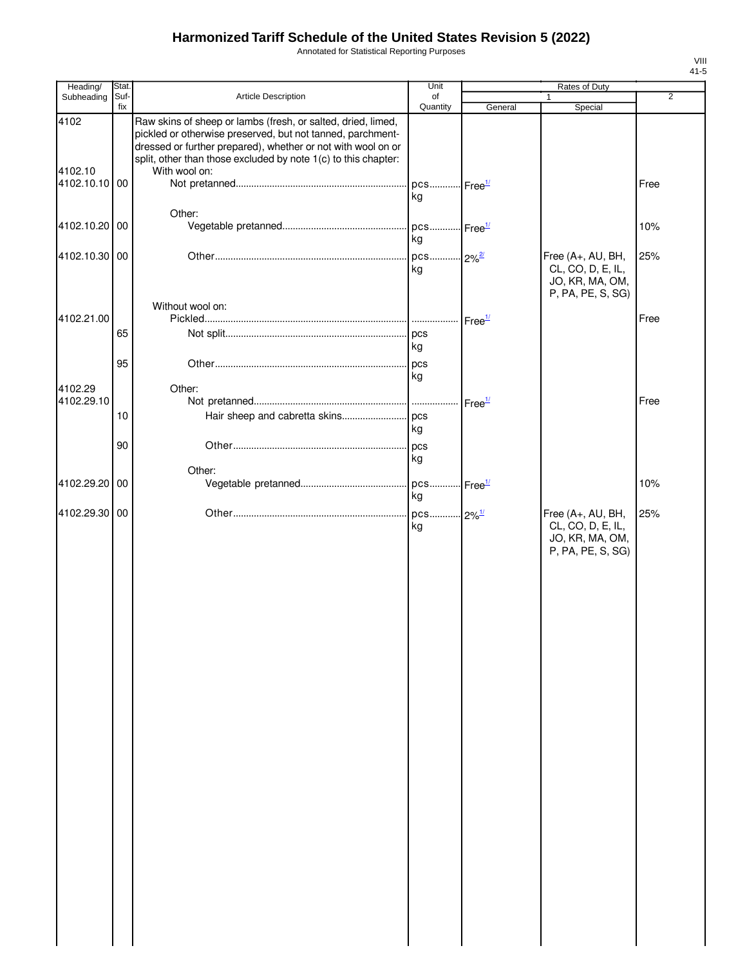Annotated for Statistical Reporting Purposes

| Heading/        | Stat.       |                                                                                                                                                                                                                                                                               | Unit                           |                    | Rates of Duty                                                                  |                |
|-----------------|-------------|-------------------------------------------------------------------------------------------------------------------------------------------------------------------------------------------------------------------------------------------------------------------------------|--------------------------------|--------------------|--------------------------------------------------------------------------------|----------------|
| Subheading      | Suf-<br>fix | Article Description                                                                                                                                                                                                                                                           | of<br>Quantity                 | General            | 1<br>Special                                                                   | $\overline{2}$ |
| 4102<br>4102.10 |             | Raw skins of sheep or lambs (fresh, or salted, dried, limed,<br>pickled or otherwise preserved, but not tanned, parchment-<br>dressed or further prepared), whether or not with wool on or<br>split, other than those excluded by note 1(c) to this chapter:<br>With wool on: |                                |                    |                                                                                |                |
| 4102.10.10 00   |             |                                                                                                                                                                                                                                                                               | pcs Free <sup>1/</sup><br>kg   |                    |                                                                                | Free           |
| 4102.10.20 00   |             | Other:                                                                                                                                                                                                                                                                        | pcs Free <sup>1/</sup><br>kg   |                    |                                                                                | 10%            |
| 4102.10.30 00   |             |                                                                                                                                                                                                                                                                               | pcs 2% <sup>2/</sup><br>kg     |                    | Free (A+, AU, BH,<br>CL, CO, D, E, IL,<br>JO, KR, MA, OM,<br>P, PA, PE, S, SG) | 25%            |
| 4102.21.00      |             | Without wool on:                                                                                                                                                                                                                                                              |                                | Free <sup>1/</sup> |                                                                                | Free           |
|                 | 65          |                                                                                                                                                                                                                                                                               | kg                             |                    |                                                                                |                |
| 4102.29         | 95          | Other:                                                                                                                                                                                                                                                                        | .l pcs<br>kg                   |                    |                                                                                |                |
| 4102.29.10      | 10          |                                                                                                                                                                                                                                                                               | kg                             | Free <sup>1/</sup> |                                                                                | Free           |
|                 | 90          |                                                                                                                                                                                                                                                                               | pcs<br>kg                      |                    |                                                                                |                |
| 4102.29.20 00   |             | Other:                                                                                                                                                                                                                                                                        | . pcs Free <sup>1/</sup><br>kg |                    |                                                                                | 10%            |
| 4102.29.30 00   |             |                                                                                                                                                                                                                                                                               | pcs 2% <sup>1/</sup><br>kg     |                    | Free (A+, AU, BH,<br>CL, CO, D, E, IL,<br>JO, KR, MA, OM,<br>P, PA, PE, S, SG) | 25%            |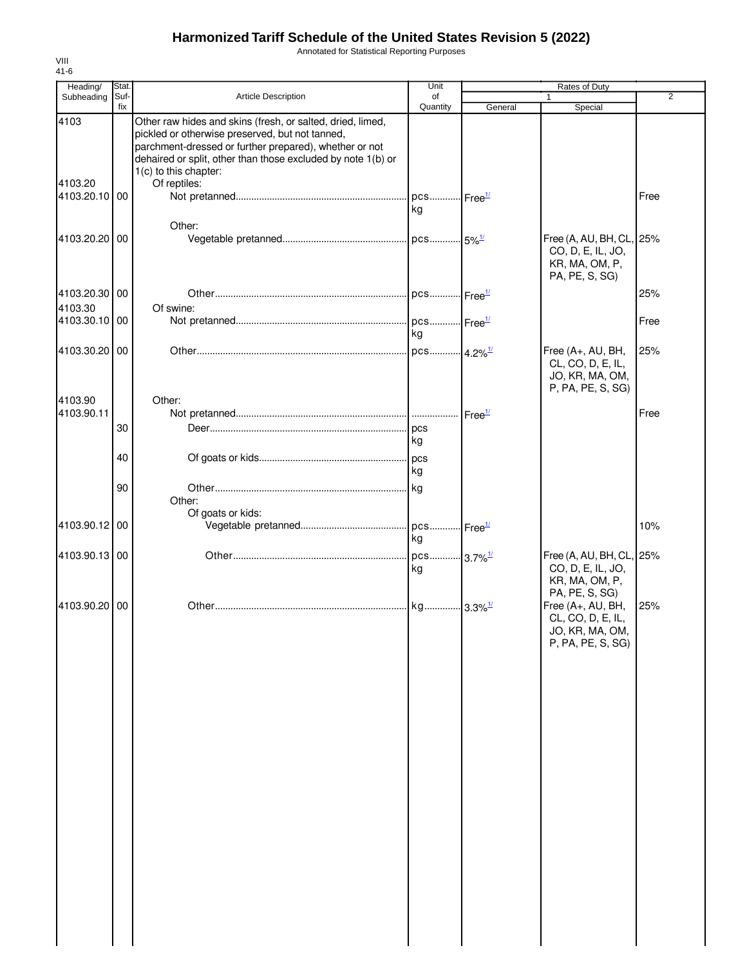Annotated for Statistical Reporting Purposes

| Heading/                 | Stat.       |                                                                                                                                                                                                                                                                  | Unit                         |         | <b>Rates of Duty</b>                                                              |                |
|--------------------------|-------------|------------------------------------------------------------------------------------------------------------------------------------------------------------------------------------------------------------------------------------------------------------------|------------------------------|---------|-----------------------------------------------------------------------------------|----------------|
| Subheading               | Suf-<br>fix | Article Description                                                                                                                                                                                                                                              | of<br>Quantity               | General | Special                                                                           | $\overline{2}$ |
| 4103                     |             | Other raw hides and skins (fresh, or salted, dried, limed,<br>pickled or otherwise preserved, but not tanned,<br>parchment-dressed or further prepared), whether or not<br>dehaired or split, other than those excluded by note 1(b) or<br>1(c) to this chapter: |                              |         |                                                                                   |                |
| 4103.20                  |             | Of reptiles:                                                                                                                                                                                                                                                     |                              |         |                                                                                   |                |
| 4103.20.10 00            |             | Other:                                                                                                                                                                                                                                                           | pcs Free <sup>1/</sup><br>kg |         |                                                                                   | Free           |
| 4103.20.20 00            |             |                                                                                                                                                                                                                                                                  |                              |         | Free (A, AU, BH, CL, 25%<br>CO, D, E, IL, JO,<br>KR, MA, OM, P,<br>PA, PE, S, SG) |                |
| 4103.20.30 00            |             |                                                                                                                                                                                                                                                                  | . pcs Free <sup>1/</sup>     |         |                                                                                   | 25%            |
| 4103.30                  |             | Of swine:                                                                                                                                                                                                                                                        |                              |         |                                                                                   |                |
| 4103.30.10 00            |             |                                                                                                                                                                                                                                                                  | pcs Free <sup>1/</sup>       |         |                                                                                   | Free           |
|                          |             |                                                                                                                                                                                                                                                                  | kg                           |         |                                                                                   |                |
| 4103.30.20 00<br>4103.90 |             | Other:                                                                                                                                                                                                                                                           | . pcs 4.2% <sup>1/</sup>     |         | Free (A+, AU, BH,<br>CL, CO, D, E, IL,<br>JO, KR, MA, OM,<br>P, PA, PE, S, SG)    | 25%            |
| 4103.90.11               |             |                                                                                                                                                                                                                                                                  |                              |         |                                                                                   | Free           |
|                          | 30          |                                                                                                                                                                                                                                                                  | kg                           |         |                                                                                   |                |
|                          | 40          |                                                                                                                                                                                                                                                                  | .lpcs<br>kg                  |         |                                                                                   |                |
|                          | 90          | Other:                                                                                                                                                                                                                                                           | kg                           |         |                                                                                   |                |
| 4103.90.12 00            |             | Of goats or kids:                                                                                                                                                                                                                                                | pcs Free <sup>1/</sup><br>kg |         |                                                                                   | 10%            |
| 4103.90.13 00            |             |                                                                                                                                                                                                                                                                  | pcs 3.7% <sup>1/</sup><br>kg |         | Free (A, AU, BH, CL, 25%<br>CO, D, E, IL, JO,<br>KR, MA, OM, P,<br>PA, PE, S, SG) |                |
| 4103.90.20 00            |             |                                                                                                                                                                                                                                                                  | kg 3.3% <sup>1/</sup>        |         | Free (A+, AU, BH,<br>CL, CO, D, E, IL,<br>JO, KR, MA, OM,<br>P, PA, PE, S, SG)    | 25%            |
|                          |             |                                                                                                                                                                                                                                                                  |                              |         |                                                                                   |                |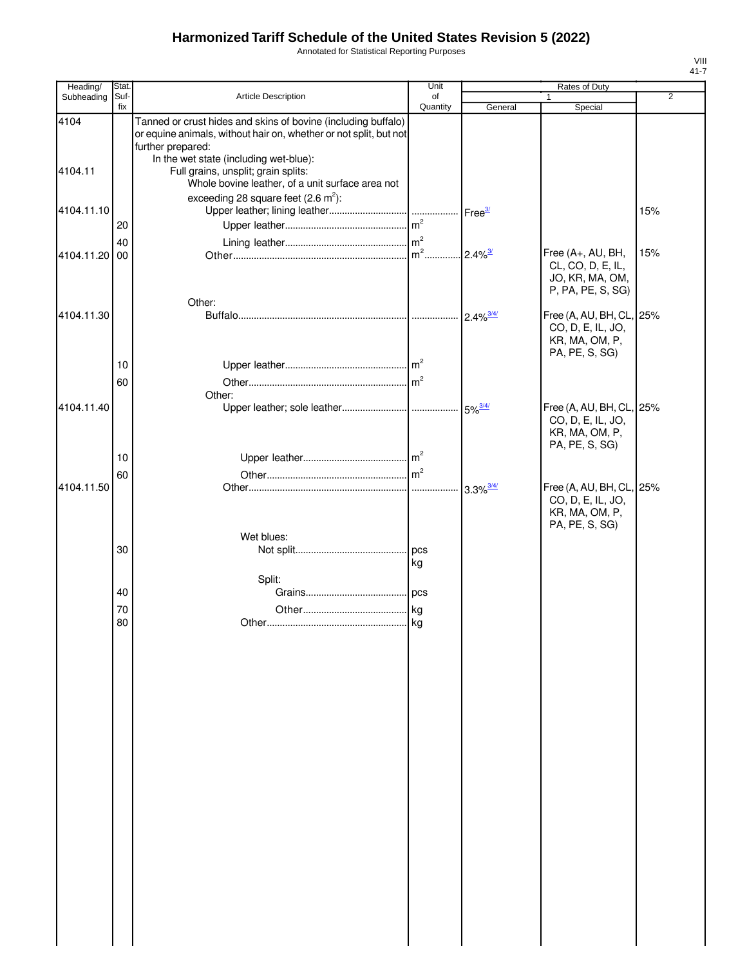Annotated for Statistical Reporting Purposes

| Heading/      | Stat.       |                                                                                                                                                         | Unit           |                            | Rates of Duty                                                                     |                |
|---------------|-------------|---------------------------------------------------------------------------------------------------------------------------------------------------------|----------------|----------------------------|-----------------------------------------------------------------------------------|----------------|
| Subheading    | Suf-<br>fix | Article Description                                                                                                                                     | of<br>Quantity | General                    | 1<br>Special                                                                      | $\overline{2}$ |
| 4104          |             | Tanned or crust hides and skins of bovine (including buffalo)<br>or equine animals, without hair on, whether or not split, but not<br>further prepared: |                |                            |                                                                                   |                |
| 4104.11       |             | In the wet state (including wet-blue):<br>Full grains, unsplit; grain splits:<br>Whole bovine leather, of a unit surface area not                       |                |                            |                                                                                   |                |
| 4104.11.10    | 20          | exceeding 28 square feet $(2.6 \text{ m}^2)$ :                                                                                                          |                | Free $\frac{3}{2}$         |                                                                                   | 15%            |
|               | 40          |                                                                                                                                                         |                |                            |                                                                                   |                |
| 4104.11.20 00 |             | Other:                                                                                                                                                  |                | $2.4\%$ <sup>3/</sup>      | Free (A+, AU, BH,<br>CL, CO, D, E, IL,<br>JO, KR, MA, OM,<br>P, PA, PE, S, SG)    | 15%            |
| 4104.11.30    |             |                                                                                                                                                         |                | $2.4\%$ <sup>3/4/</sup>    | Free (A, AU, BH, CL, 25%<br>CO, D, E, IL, JO,<br>KR, MA, OM, P,<br>PA, PE, S, SG) |                |
|               | 10          |                                                                                                                                                         |                |                            |                                                                                   |                |
|               | 60          |                                                                                                                                                         |                |                            |                                                                                   |                |
| 4104.11.40    |             | Other:                                                                                                                                                  |                |                            | Free (A, AU, BH, CL, 25%<br>CO, D, E, IL, JO,<br>KR, MA, OM, P,<br>PA, PE, S, SG) |                |
|               | 10          |                                                                                                                                                         |                |                            |                                                                                   |                |
|               | 60          |                                                                                                                                                         |                |                            |                                                                                   |                |
| 4104.11.50    |             |                                                                                                                                                         |                | $\cdot$ 3.3% $\frac{3}{4}$ | Free (A, AU, BH, CL, 25%<br>CO, D, E, IL, JO,<br>KR, MA, OM, P,<br>PA, PE, S, SG) |                |
|               | 30          | Wet blues:                                                                                                                                              | kg             |                            |                                                                                   |                |
|               |             | Split:                                                                                                                                                  |                |                            |                                                                                   |                |
|               | 40          |                                                                                                                                                         |                |                            |                                                                                   |                |
|               | 70          |                                                                                                                                                         |                |                            |                                                                                   |                |
|               | 80          |                                                                                                                                                         |                |                            |                                                                                   |                |
|               |             |                                                                                                                                                         |                |                            |                                                                                   |                |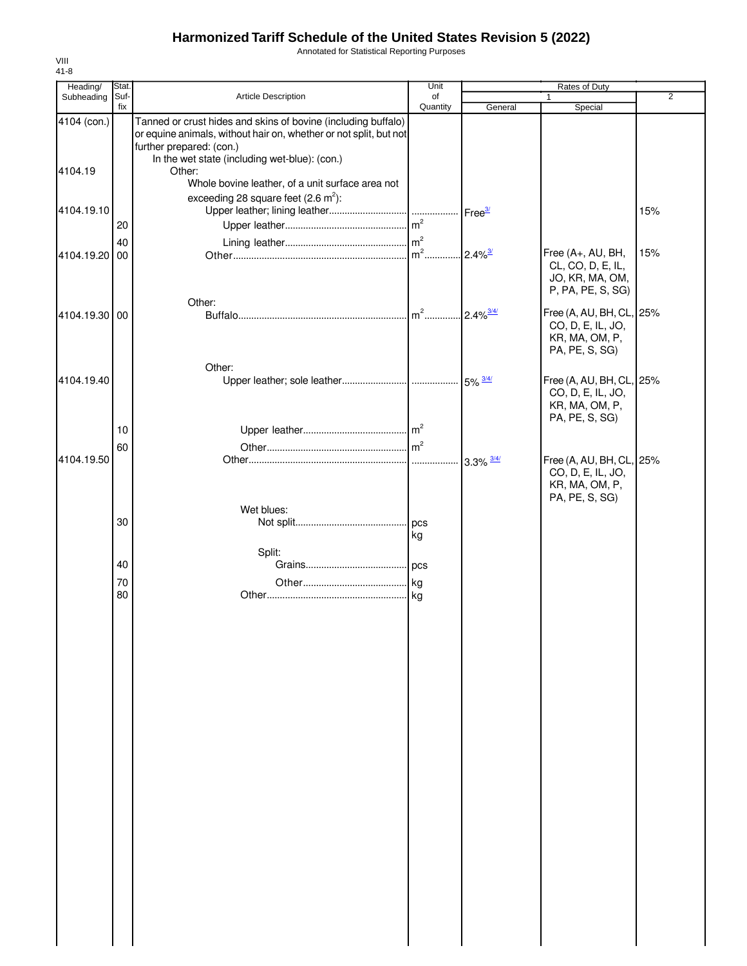Annotated for Statistical Reporting Purposes

| Heading/      | Stat.    |                                                                                                                                                                | Unit           | Rates of Duty            |                                                                                   |                |  |
|---------------|----------|----------------------------------------------------------------------------------------------------------------------------------------------------------------|----------------|--------------------------|-----------------------------------------------------------------------------------|----------------|--|
| Subheading    | Suf-     | Article Description                                                                                                                                            | of             |                          | 1                                                                                 | $\overline{2}$ |  |
| 4104 (con.)   | fix      | Tanned or crust hides and skins of bovine (including buffalo)<br>or equine animals, without hair on, whether or not split, but not<br>further prepared: (con.) | Quantity       | General                  | Special                                                                           |                |  |
| 4104.19       |          | In the wet state (including wet-blue): (con.)<br>Other:<br>Whole bovine leather, of a unit surface area not                                                    |                |                          |                                                                                   |                |  |
| 4104.19.10    | 20       | exceeding 28 square feet $(2.6 \text{ m}^2)$ :                                                                                                                 |                |                          |                                                                                   | 15%            |  |
| 4104.19.20    | 40<br>00 |                                                                                                                                                                | $m2$           | $2.4\%$ <sup>3/</sup>    | Free (A+, AU, BH,<br>CL, CO, D, E, IL,<br>JO, KR, MA, OM,<br>P, PA, PE, S, SG)    | 15%            |  |
| 4104.19.30 00 |          | Other:                                                                                                                                                         | $m2$           | $2.4\%$ <sup>3/4/</sup>  | Free (A, AU, BH, CL, 25%<br>CO, D, E, IL, JO,<br>KR, MA, OM, P,<br>PA, PE, S, SG) |                |  |
| 4104.19.40    |          | Other:                                                                                                                                                         |                |                          | Free (A, AU, BH, CL, 25%<br>CO, D, E, IL, JO,<br>KR, MA, OM, P,<br>PA, PE, S, SG) |                |  |
| 4104.19.50    | 10<br>60 |                                                                                                                                                                | m <sup>2</sup> | $3.3\%$ $\frac{3/4/}{ }$ | Free (A, AU, BH, CL, 25%                                                          |                |  |
|               |          | Wet blues:                                                                                                                                                     |                |                          | CO, D, E, IL, JO,<br>KR, MA, OM, P,<br>PA, PE, S, SG)                             |                |  |
|               | 30       | Split:                                                                                                                                                         | kg             |                          |                                                                                   |                |  |
|               | 40       |                                                                                                                                                                |                |                          |                                                                                   |                |  |
|               | 70<br>80 |                                                                                                                                                                |                |                          |                                                                                   |                |  |
|               |          |                                                                                                                                                                |                |                          |                                                                                   |                |  |
|               |          |                                                                                                                                                                |                |                          |                                                                                   |                |  |
|               |          |                                                                                                                                                                |                |                          |                                                                                   |                |  |
|               |          |                                                                                                                                                                |                |                          |                                                                                   |                |  |
|               |          |                                                                                                                                                                |                |                          |                                                                                   |                |  |
|               |          |                                                                                                                                                                |                |                          |                                                                                   |                |  |
|               |          |                                                                                                                                                                |                |                          |                                                                                   |                |  |
|               |          |                                                                                                                                                                |                |                          |                                                                                   |                |  |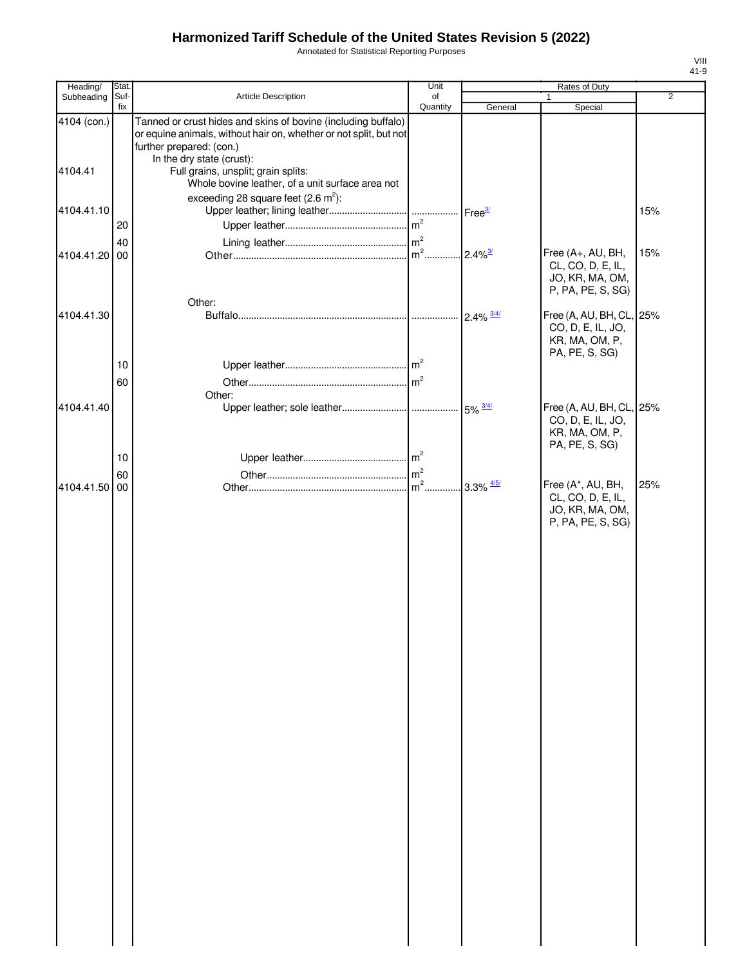Annotated for Statistical Reporting Purposes

| Heading/               | Stat.       |                                                                                                                                                                                                                                    | Unit                    |                          | Rates of Duty                                                                     |                |
|------------------------|-------------|------------------------------------------------------------------------------------------------------------------------------------------------------------------------------------------------------------------------------------|-------------------------|--------------------------|-----------------------------------------------------------------------------------|----------------|
| Subheading             | Suf-<br>fix | Article Description                                                                                                                                                                                                                | of<br>Quantity          | General                  | $\mathbf{1}$<br>Special                                                           | $\overline{2}$ |
| 4104 (con.)<br>4104.41 |             | Tanned or crust hides and skins of bovine (including buffalo)<br>or equine animals, without hair on, whether or not split, but not<br>further prepared: (con.)<br>In the dry state (crust):<br>Full grains, unsplit; grain splits: |                         |                          |                                                                                   |                |
|                        |             | Whole bovine leather, of a unit surface area not                                                                                                                                                                                   |                         |                          |                                                                                   |                |
| 4104.41.10             | 20          | exceeding 28 square feet $(2.6 \text{ m}^2)$ :                                                                                                                                                                                     |                         | Free <sup>3/</sup>       |                                                                                   | 15%            |
|                        | 40          |                                                                                                                                                                                                                                    |                         |                          |                                                                                   |                |
| 4104.41.20 00          |             | Other:                                                                                                                                                                                                                             | $\mathsf{Im}^2$ .       | $2.4\%$ <sup>3/</sup>    | Free (A+, AU, BH,<br>CL, CO, D, E, IL,<br>JO, KR, MA, OM,<br>P, PA, PE, S, SG)    | 15%            |
| 4104.41.30             |             |                                                                                                                                                                                                                                    |                         |                          | Free (A, AU, BH, CL, 25%<br>CO, D, E, IL, JO,<br>KR, MA, OM, P,<br>PA, PE, S, SG) |                |
|                        | 10          |                                                                                                                                                                                                                                    |                         |                          |                                                                                   |                |
|                        | 60          | Other:                                                                                                                                                                                                                             | $\mathsf{Im}^2$         |                          |                                                                                   |                |
| 4104.41.40             |             |                                                                                                                                                                                                                                    |                         | 5% $\frac{3/4}{ }$       | Free (A, AU, BH, CL, 25%<br>CO, D, E, IL, JO,<br>KR, MA, OM, P,<br>PA, PE, S, SG) |                |
|                        | 10          |                                                                                                                                                                                                                                    |                         |                          |                                                                                   |                |
|                        | 60          |                                                                                                                                                                                                                                    | m <sup>2</sup><br>$m^2$ |                          | Free (A*, AU, BH,                                                                 | 25%            |
| 4104.41.50 00          |             |                                                                                                                                                                                                                                    |                         | $.3.3\%$ $\frac{4/5}{1}$ | CL, CO, D, E, IL,<br>JO, KR, MA, OM,<br>P, PA, PE, S, SG)                         |                |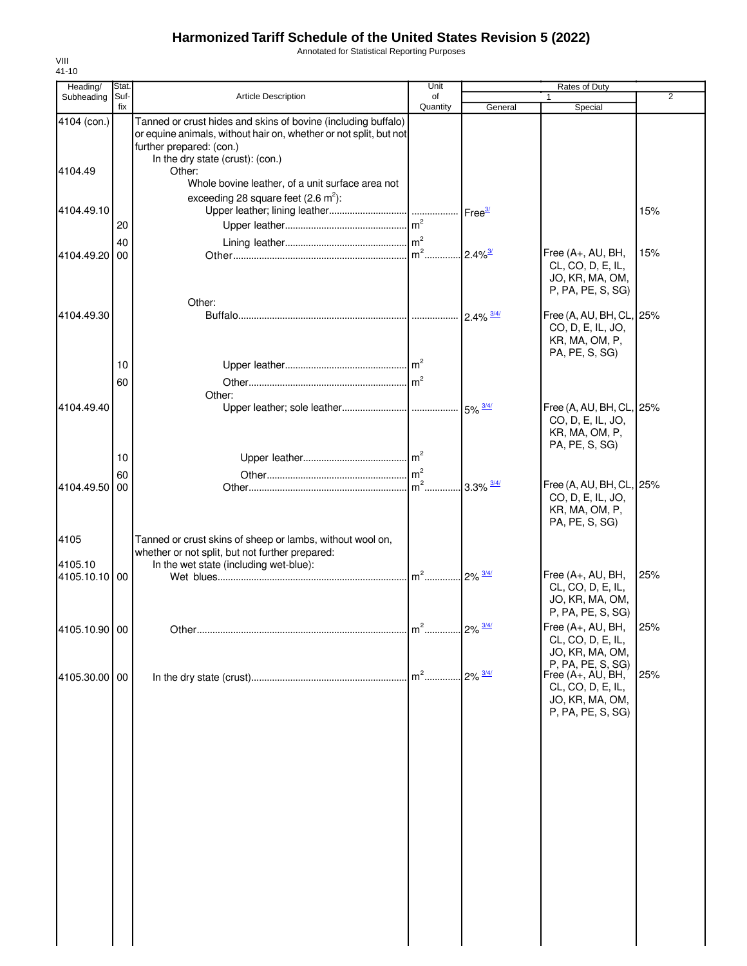Annotated for Statistical Reporting Purposes

| Heading/        | Stat.       |                                                                                                                                                                | Unit                   |                        | Rates of Duty                                                                                       |                |
|-----------------|-------------|----------------------------------------------------------------------------------------------------------------------------------------------------------------|------------------------|------------------------|-----------------------------------------------------------------------------------------------------|----------------|
| Subheading      | Suf-<br>fix | <b>Article Description</b>                                                                                                                                     | of<br>Quantity         | General                | Special                                                                                             | $\overline{2}$ |
| 4104 (con.)     |             | Tanned or crust hides and skins of bovine (including buffalo)<br>or equine animals, without hair on, whether or not split, but not<br>further prepared: (con.) |                        |                        |                                                                                                     |                |
| 4104.49         |             | In the dry state (crust): (con.)<br>Other:<br>Whole bovine leather, of a unit surface area not                                                                 |                        |                        |                                                                                                     |                |
| 4104.49.10      | 20          | exceeding 28 square feet $(2.6 \text{ m}^2)$ :                                                                                                                 |                        |                        |                                                                                                     | 15%            |
| 4104.49.20      | 40<br>00    |                                                                                                                                                                |                        | $12.4\%$ <sup>3/</sup> | Free (A+, AU, BH,<br>CL, CO, D, E, IL,<br>JO, KR, MA, OM,<br>P, PA, PE, S, SG)                      | 15%            |
| 4104.49.30      |             | Other:                                                                                                                                                         |                        | $2.4\% \frac{3/4}{ }$  | Free (A, AU, BH, CL, 25%<br>CO, D, E, IL, JO,<br>KR, MA, OM, P,<br>PA, PE, S, SG)                   |                |
|                 | 10<br>60    | Other:                                                                                                                                                         | m <sup>2</sup>         |                        |                                                                                                     |                |
| 4104.49.40      |             |                                                                                                                                                                |                        |                        | Free (A, AU, BH, CL, 25%<br>CO, D, E, IL, JO,<br>KR, MA, OM, P,<br>PA, PE, S, SG)                   |                |
|                 | 10          |                                                                                                                                                                |                        |                        |                                                                                                     |                |
| 4104.49.50      | 60<br>00    |                                                                                                                                                                | $\mathsf{Im}^2$        |                        | Free (A, AU, BH, CL, 25%<br>CO, D, E, IL, JO,<br>KR, MA, OM, P,<br>PA, PE, S, SG)                   |                |
| 4105<br>4105.10 |             | Tanned or crust skins of sheep or lambs, without wool on,<br>whether or not split, but not further prepared:<br>In the wet state (including wet-blue):         |                        |                        |                                                                                                     |                |
| 4105.10.10 00   |             |                                                                                                                                                                | m <sup>2</sup> 2% 3/4/ |                        | Free (A+, AU, BH,<br>CL, CO, D, E, IL,<br>JO, KR, MA, OM,<br>P, PA, PE, S, SG)                      | 25%            |
| 4105.10.90 00   |             |                                                                                                                                                                |                        |                        | Free (A+, AU, BH,<br>CL, CO, D, E, IL,<br>JO, KR, MA, OM,                                           | 25%            |
| 4105.30.00 00   |             |                                                                                                                                                                |                        |                        | P, PA, PE, S, SG)<br>Free (A+, AU, BH,<br>CL, CO, D, E, IL,<br>JO, KR, MA, OM,<br>P, PA, PE, S, SG) | 25%            |
|                 |             |                                                                                                                                                                |                        |                        |                                                                                                     |                |
|                 |             |                                                                                                                                                                |                        |                        |                                                                                                     |                |
|                 |             |                                                                                                                                                                |                        |                        |                                                                                                     |                |
|                 |             |                                                                                                                                                                |                        |                        |                                                                                                     |                |
|                 |             |                                                                                                                                                                |                        |                        |                                                                                                     |                |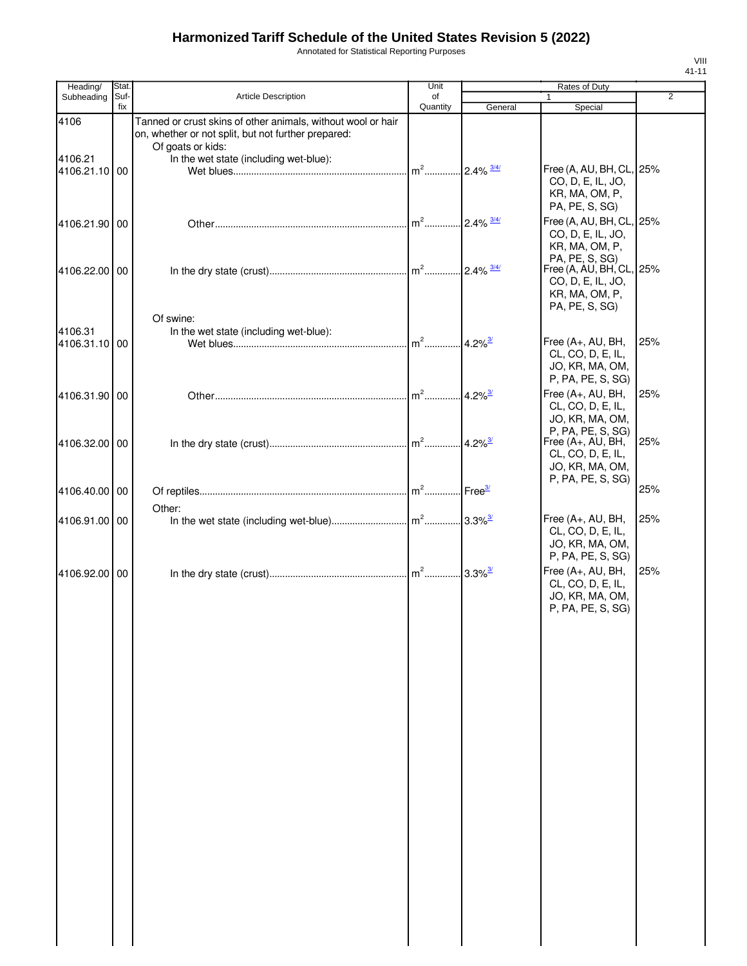Annotated for Statistical Reporting Purposes

| Heading/        | Stat.       |                                                                                                                                                                                    | Unit           |                          | Rates of Duty                                                                     |                |
|-----------------|-------------|------------------------------------------------------------------------------------------------------------------------------------------------------------------------------------|----------------|--------------------------|-----------------------------------------------------------------------------------|----------------|
| Subheading      | Suf-<br>fix | <b>Article Description</b>                                                                                                                                                         | of<br>Quantity | General                  | $\mathbf{1}$<br>Special                                                           | $\overline{2}$ |
| 4106<br>4106.21 |             | Tanned or crust skins of other animals, without wool or hair<br>on, whether or not split, but not further prepared:<br>Of goats or kids:<br>In the wet state (including wet-blue): |                |                          |                                                                                   |                |
| 4106.21.10      | 00          |                                                                                                                                                                                    |                |                          | Free (A, AU, BH, CL, 25%<br>CO, D, E, IL, JO,<br>KR, MA, OM, P,<br>PA, PE, S, SG) |                |
| 4106.21.90 00   |             |                                                                                                                                                                                    | $m2$           | $.2.4\%$ $\frac{3/4}{1}$ | Free (A, AU, BH, CL, 25%<br>CO, D, E, IL, JO,<br>KR, MA, OM, P,<br>PA, PE, S, SG) |                |
| 4106.22.00 00   |             |                                                                                                                                                                                    |                |                          | Free (A, AU, BH, CL, 25%<br>CO, D, E, IL, JO,<br>KR, MA, OM, P,<br>PA, PE, S, SG) |                |
| 4106.31         |             | Of swine:<br>In the wet state (including wet-blue):                                                                                                                                |                |                          |                                                                                   |                |
| 4106.31.10 00   |             |                                                                                                                                                                                    |                | $4.2\%$ <sup>3/</sup>    | Free (A+, AU, BH,<br>CL, CO, D, E, IL,<br>JO, KR, MA, OM,<br>P, PA, PE, S, SG)    | 25%            |
| 4106.31.90 00   |             |                                                                                                                                                                                    |                | $4.2\%$ <sup>3/</sup>    | Free (A+, AU, BH,<br>CL, CO, D, E, IL,<br>JO, KR, MA, OM,<br>P, PA, PE, S, SG)    | 25%            |
| 4106.32.00 00   |             |                                                                                                                                                                                    |                | $4.2\%$ <sup>3/</sup>    | Free $(A+, AU, BH,$<br>CL, CO, D, E, IL,<br>JO, KR, MA, OM,<br>P, PA, PE, S, SG)  | 25%            |
| 4106.40.00 00   |             |                                                                                                                                                                                    |                |                          |                                                                                   | 25%            |
| 4106.91.00 00   |             | Other:                                                                                                                                                                             |                |                          | Free (A+, AU, BH,<br>CL, CO, D, E, IL,<br>JO, KR, MA, OM,<br>P, PA, PE, S, SG)    | 25%            |
| 4106.92.00 00   |             |                                                                                                                                                                                    |                |                          | Free (A+, AU, BH,<br>CL, CO, D, E, IL,<br>JO, KR, MA, OM,<br>P, PA, PE, S, SG)    | 25%            |
|                 |             |                                                                                                                                                                                    |                |                          |                                                                                   |                |
|                 |             |                                                                                                                                                                                    |                |                          |                                                                                   |                |
|                 |             |                                                                                                                                                                                    |                |                          |                                                                                   |                |
|                 |             |                                                                                                                                                                                    |                |                          |                                                                                   |                |
|                 |             |                                                                                                                                                                                    |                |                          |                                                                                   |                |
|                 |             |                                                                                                                                                                                    |                |                          |                                                                                   |                |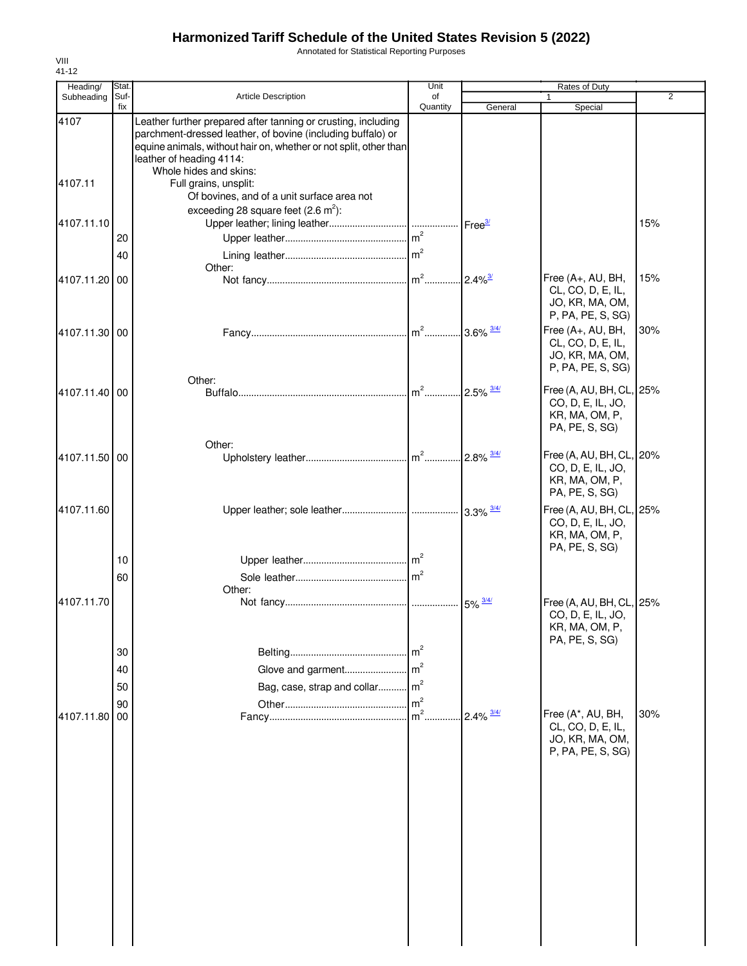Annotated for Statistical Reporting Purposes

| Heading/      | Stat.          |                                                                                                                                                                                                                                                         | Unit                                               |                               | Rates of Duty                                                                     |                |
|---------------|----------------|---------------------------------------------------------------------------------------------------------------------------------------------------------------------------------------------------------------------------------------------------------|----------------------------------------------------|-------------------------------|-----------------------------------------------------------------------------------|----------------|
| Subheading    | Suf-<br>fix    | <b>Article Description</b>                                                                                                                                                                                                                              | of<br>Quantity                                     | General                       | Special                                                                           | $\overline{2}$ |
| 4107          |                | Leather further prepared after tanning or crusting, including<br>parchment-dressed leather, of bovine (including buffalo) or<br>equine animals, without hair on, whether or not split, other than<br>leather of heading 4114:<br>Whole hides and skins: |                                                    |                               |                                                                                   |                |
| 4107.11       |                | Full grains, unsplit:<br>Of bovines, and of a unit surface area not                                                                                                                                                                                     |                                                    |                               |                                                                                   |                |
| 4107.11.10    | 20             | exceeding 28 square feet $(2.6 \text{ m}^2)$ :                                                                                                                                                                                                          |                                                    |                               |                                                                                   | 15%            |
|               | 40             | Other:                                                                                                                                                                                                                                                  |                                                    |                               |                                                                                   |                |
| 4107.11.20 00 |                |                                                                                                                                                                                                                                                         |                                                    | 2.4% <sup>3/</sup>            | Free (A+, AU, BH,<br>CL, CO, D, E, IL,<br>JO, KR, MA, OM,<br>P, PA, PE, S, SG)    | 15%            |
| 4107.11.30 00 |                |                                                                                                                                                                                                                                                         |                                                    |                               | Free (A+, AU, BH,<br>CL, CO, D, E, IL,<br>JO, KR, MA, OM,<br>P, PA, PE, S, SG)    | 30%            |
| 4107.11.40 00 |                | Other:                                                                                                                                                                                                                                                  |                                                    |                               | Free (A, AU, BH, CL, 25%<br>CO, D, E, IL, JO,<br>KR, MA, OM, P,<br>PA, PE, S, SG) |                |
| 4107.11.50 00 |                | Other:                                                                                                                                                                                                                                                  |                                                    |                               | Free (A, AU, BH, CL, 20%<br>CO, D, E, IL, JO,<br>KR, MA, OM, P,<br>PA, PE, S, SG) |                |
| 4107.11.60    |                |                                                                                                                                                                                                                                                         |                                                    |                               | Free (A, AU, BH, CL, 25%<br>CO, D, E, IL, JO,<br>KR, MA, OM, P,<br>PA, PE, S, SG) |                |
|               | 10<br>60       | Other:                                                                                                                                                                                                                                                  | m <sup>2</sup>                                     |                               |                                                                                   |                |
| 4107.11.70    |                |                                                                                                                                                                                                                                                         |                                                    | $\cdot\,5\%$ $\frac{3/4/}{2}$ | Free (A, AU, BH, CL, 25%<br>CO, D, E, IL, JO,<br>KR, MA, OM, P,<br>PA, PE, S, SG) |                |
|               | 30<br>40<br>50 | Glove and garment<br>Bag, case, strap and collar                                                                                                                                                                                                        | m <sup>2</sup><br>m <sup>2</sup><br>m <sup>2</sup> |                               |                                                                                   |                |
| 4107.11.80    | 90<br>00       |                                                                                                                                                                                                                                                         | m <sup>2</sup><br>$m2$ .                           | $2.4\%$ $\frac{3/4}{ }$       | Free (A*, AU, BH,<br>CL, CO, D, E, IL,<br>JO, KR, MA, OM,<br>P, PA, PE, S, SG)    | 30%            |
|               |                |                                                                                                                                                                                                                                                         |                                                    |                               |                                                                                   |                |
|               |                |                                                                                                                                                                                                                                                         |                                                    |                               |                                                                                   |                |
|               |                |                                                                                                                                                                                                                                                         |                                                    |                               |                                                                                   |                |
|               |                |                                                                                                                                                                                                                                                         |                                                    |                               |                                                                                   |                |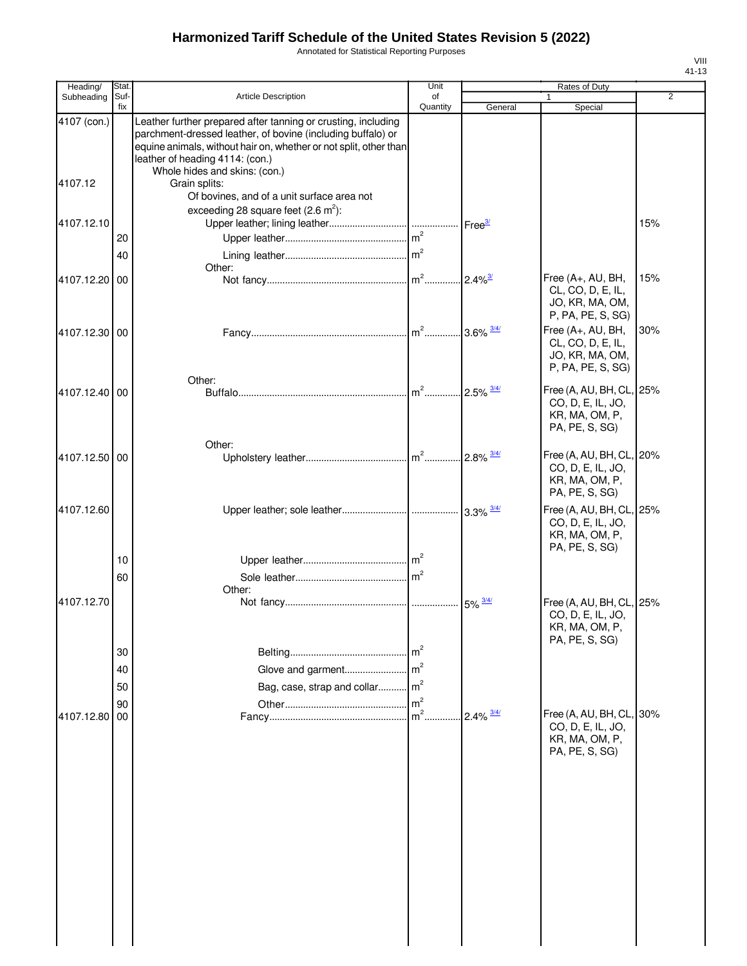Annotated for Statistical Reporting Purposes

| Heading/      | Stat.       |                                                                                                                                                                                                                                                                       | Unit                             |                          | Rates of Duty                                                                     |                |
|---------------|-------------|-----------------------------------------------------------------------------------------------------------------------------------------------------------------------------------------------------------------------------------------------------------------------|----------------------------------|--------------------------|-----------------------------------------------------------------------------------|----------------|
| Subheading    | Suf-<br>fix | Article Description                                                                                                                                                                                                                                                   | of<br>Quantity                   | General                  | 1<br>Special                                                                      | $\overline{2}$ |
| 4107 (con.)   |             | Leather further prepared after tanning or crusting, including<br>parchment-dressed leather, of bovine (including buffalo) or<br>equine animals, without hair on, whether or not split, other than<br>leather of heading 4114: (con.)<br>Whole hides and skins: (con.) |                                  |                          |                                                                                   |                |
| 4107.12       |             | Grain splits:<br>Of bovines, and of a unit surface area not                                                                                                                                                                                                           |                                  |                          |                                                                                   |                |
| 4107.12.10    |             | exceeding 28 square feet $(2.6 \text{ m}^2)$ :                                                                                                                                                                                                                        |                                  |                          |                                                                                   | 15%            |
|               | 20<br>40    | Other:                                                                                                                                                                                                                                                                | $\mathsf{Im}^2$                  |                          |                                                                                   |                |
| 4107.12.20    | 00          |                                                                                                                                                                                                                                                                       |                                  | $.2.4\%$                 | Free (A+, AU, BH,<br>CL, CO, D, E, IL,<br>JO, KR, MA, OM,<br>P, PA, PE, S, SG)    | 15%            |
| 4107.12.30    | 00          |                                                                                                                                                                                                                                                                       |                                  |                          | Free (A+, AU, BH,<br>CL, CO, D, E, IL,<br>JO, KR, MA, OM,<br>P, PA, PE, S, SG)    | 30%            |
| 4107.12.40 00 |             | Other:                                                                                                                                                                                                                                                                | $\mathsf{Im}^2$                  | $.2.5\%$ $\frac{3/4}{1}$ | Free (A, AU, BH, CL, 25%<br>CO, D, E, IL, JO,<br>KR, MA, OM, P,<br>PA, PE, S, SG) |                |
| 4107.12.50 00 |             | Other:                                                                                                                                                                                                                                                                |                                  | $.2.8\%$ $\frac{3/4}{1}$ | Free (A, AU, BH, CL, 20%<br>CO, D, E, IL, JO,<br>KR, MA, OM, P,<br>PA, PE, S, SG) |                |
| 4107.12.60    |             |                                                                                                                                                                                                                                                                       |                                  |                          | Free (A, AU, BH, CL, 25%<br>CO, D, E, IL, JO,<br>KR, MA, OM, P,<br>PA, PE, S, SG) |                |
|               | 10<br>60    | Other:                                                                                                                                                                                                                                                                | $\mathsf{Im}^2$                  |                          |                                                                                   |                |
| 4107.12.70    |             |                                                                                                                                                                                                                                                                       |                                  |                          | Free (A, AU, BH, CL, 25%<br>CO, D, E, IL, JO,<br>KR, MA, OM, P,<br>PA, PE, S, SG) |                |
|               | 30<br>40    | Glove and garment                                                                                                                                                                                                                                                     | m <sup>2</sup><br>$\mathsf{m}^2$ |                          |                                                                                   |                |
|               | 50<br>90    | Bag, case, strap and collar                                                                                                                                                                                                                                           | m <sup>2</sup><br>m <sup>2</sup> |                          |                                                                                   |                |
| 4107.12.80    | 00          |                                                                                                                                                                                                                                                                       | $m2$ .                           | $2.4\%$ $\frac{3/4/}{ }$ | Free (A, AU, BH, CL, 30%<br>CO, D, E, IL, JO,<br>KR, MA, OM, P,<br>PA, PE, S, SG) |                |
|               |             |                                                                                                                                                                                                                                                                       |                                  |                          |                                                                                   |                |
|               |             |                                                                                                                                                                                                                                                                       |                                  |                          |                                                                                   |                |
|               |             |                                                                                                                                                                                                                                                                       |                                  |                          |                                                                                   |                |
|               |             |                                                                                                                                                                                                                                                                       |                                  |                          |                                                                                   |                |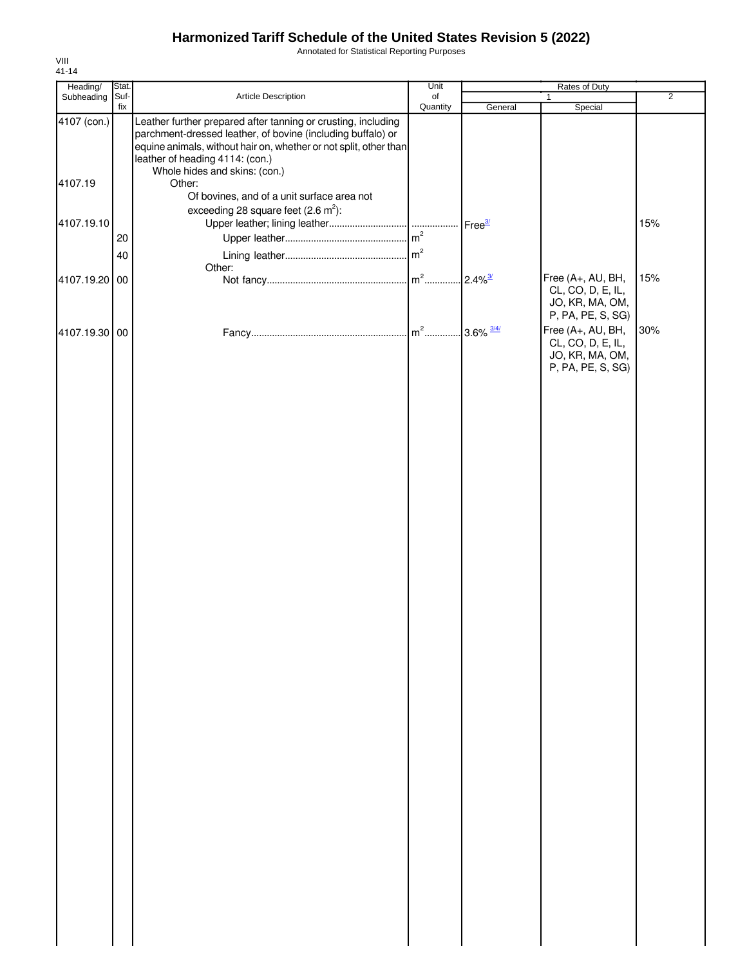Annotated for Statistical Reporting Purposes

| Heading/      | Stat. |                                                                                                                                                                                                                                      | Unit     |         | <b>Rates of Duty</b>                                                           |                |
|---------------|-------|--------------------------------------------------------------------------------------------------------------------------------------------------------------------------------------------------------------------------------------|----------|---------|--------------------------------------------------------------------------------|----------------|
| Subheading    | Suf-  | Article Description                                                                                                                                                                                                                  | of       |         | $\mathbf{1}$                                                                   | $\overline{2}$ |
| 4107 (con.)   | fix   | Leather further prepared after tanning or crusting, including<br>parchment-dressed leather, of bovine (including buffalo) or<br>equine animals, without hair on, whether or not split, other than<br>leather of heading 4114: (con.) | Quantity | General | Special                                                                        |                |
| 4107.19       |       | Whole hides and skins: (con.)<br>Other:                                                                                                                                                                                              |          |         |                                                                                |                |
| 4107.19.10    |       | Of bovines, and of a unit surface area not<br>exceeding 28 square feet $(2.6 \text{ m}^2)$ :                                                                                                                                         |          |         |                                                                                | 15%            |
|               | 20    |                                                                                                                                                                                                                                      |          |         |                                                                                |                |
|               | 40    | Other:                                                                                                                                                                                                                               |          |         |                                                                                |                |
| 4107.19.20    | 00    |                                                                                                                                                                                                                                      |          |         | Free (A+, AU, BH,<br>CL, CO, D, E, IL,<br>JO, KR, MA, OM,<br>P, PA, PE, S, SG) | 15%            |
| 4107.19.30 00 |       |                                                                                                                                                                                                                                      |          |         | Free (A+, AU, BH,<br>CL, CO, D, E, IL,<br>JO, KR, MA, OM,<br>P, PA, PE, S, SG) | 30%            |
|               |       |                                                                                                                                                                                                                                      |          |         |                                                                                |                |
|               |       |                                                                                                                                                                                                                                      |          |         |                                                                                |                |
|               |       |                                                                                                                                                                                                                                      |          |         |                                                                                |                |
|               |       |                                                                                                                                                                                                                                      |          |         |                                                                                |                |
|               |       |                                                                                                                                                                                                                                      |          |         |                                                                                |                |
|               |       |                                                                                                                                                                                                                                      |          |         |                                                                                |                |
|               |       |                                                                                                                                                                                                                                      |          |         |                                                                                |                |
|               |       |                                                                                                                                                                                                                                      |          |         |                                                                                |                |
|               |       |                                                                                                                                                                                                                                      |          |         |                                                                                |                |
|               |       |                                                                                                                                                                                                                                      |          |         |                                                                                |                |
|               |       |                                                                                                                                                                                                                                      |          |         |                                                                                |                |
|               |       |                                                                                                                                                                                                                                      |          |         |                                                                                |                |
|               |       |                                                                                                                                                                                                                                      |          |         |                                                                                |                |
|               |       |                                                                                                                                                                                                                                      |          |         |                                                                                |                |
|               |       |                                                                                                                                                                                                                                      |          |         |                                                                                |                |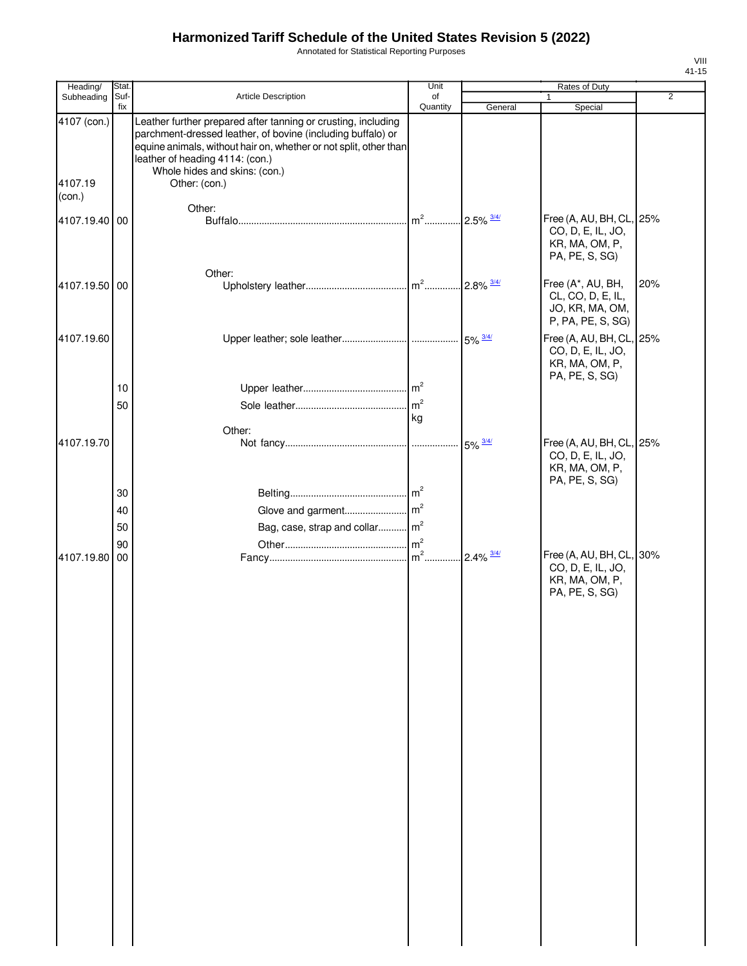Annotated for Statistical Reporting Purposes

| Heading/               | Stat. |                                                                                                                                                                                                                                                                                        | Unit           |                          | Rates of Duty                                                                     |                |
|------------------------|-------|----------------------------------------------------------------------------------------------------------------------------------------------------------------------------------------------------------------------------------------------------------------------------------------|----------------|--------------------------|-----------------------------------------------------------------------------------|----------------|
| Subheading             | Suf-  | Article Description                                                                                                                                                                                                                                                                    | of             |                          | $\mathbf{1}$                                                                      | $\overline{2}$ |
| 4107 (con.)<br>4107.19 | fix   | Leather further prepared after tanning or crusting, including<br>parchment-dressed leather, of bovine (including buffalo) or<br>equine animals, without hair on, whether or not split, other than<br>leather of heading 4114: (con.)<br>Whole hides and skins: (con.)<br>Other: (con.) | Quantity       | General                  | Special                                                                           |                |
| (con.)                 |       |                                                                                                                                                                                                                                                                                        |                |                          |                                                                                   |                |
|                        |       | Other:                                                                                                                                                                                                                                                                                 |                |                          |                                                                                   |                |
| 4107.19.40 00          |       |                                                                                                                                                                                                                                                                                        | $m2$           | $2.5\%$ $\frac{3/4/}{ }$ | Free (A, AU, BH, CL, 25%<br>CO, D, E, IL, JO,<br>KR, MA, OM, P,<br>PA, PE, S, SG) |                |
|                        |       | Other:                                                                                                                                                                                                                                                                                 |                |                          |                                                                                   |                |
| 4107.19.50 00          |       |                                                                                                                                                                                                                                                                                        | $m2$           | $2.8\%$ $\frac{3/4/}{ }$ | Free (A*, AU, BH,<br>CL, CO, D, E, IL,<br>JO, KR, MA, OM,<br>P, PA, PE, S, SG)    | 20%            |
| 4107.19.60             |       |                                                                                                                                                                                                                                                                                        |                |                          | Free (A, AU, BH, CL, 25%<br>CO, D, E, IL, JO,<br>KR, MA, OM, P,<br>PA, PE, S, SG) |                |
|                        | 10    |                                                                                                                                                                                                                                                                                        |                |                          |                                                                                   |                |
|                        | 50    |                                                                                                                                                                                                                                                                                        | m <sup>2</sup> |                          |                                                                                   |                |
|                        |       |                                                                                                                                                                                                                                                                                        | kg             |                          |                                                                                   |                |
|                        |       | Other:                                                                                                                                                                                                                                                                                 |                |                          |                                                                                   |                |
| 4107.19.70             |       |                                                                                                                                                                                                                                                                                        |                | $5\% \frac{3/4}{ }$      | Free (A, AU, BH, CL, 25%<br>CO, D, E, IL, JO,<br>KR, MA, OM, P,<br>PA, PE, S, SG) |                |
|                        | 30    |                                                                                                                                                                                                                                                                                        |                |                          |                                                                                   |                |
|                        | 40    |                                                                                                                                                                                                                                                                                        |                |                          |                                                                                   |                |
|                        | 50    | Bag, case, strap and collar m <sup>2</sup>                                                                                                                                                                                                                                             |                |                          |                                                                                   |                |
|                        | 90    |                                                                                                                                                                                                                                                                                        |                |                          |                                                                                   |                |
| 4107.19.80 00          |       |                                                                                                                                                                                                                                                                                        | $m2$           | $2.4\%$ $\frac{3/4/}{ }$ | Free (A, AU, BH, CL, 30%<br>CO, D, E, IL, JO,<br>KR, MA, OM, P,<br>PA, PE, S, SG) |                |
|                        |       |                                                                                                                                                                                                                                                                                        |                |                          |                                                                                   |                |
|                        |       |                                                                                                                                                                                                                                                                                        |                |                          |                                                                                   |                |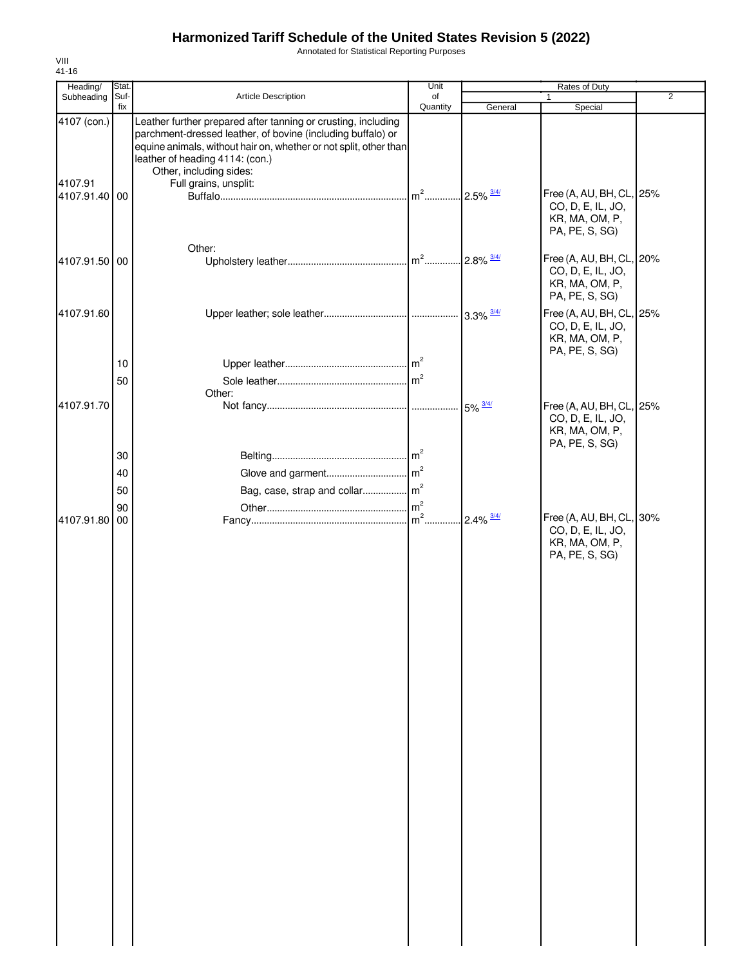Annotated for Statistical Reporting Purposes

| Heading/                 | Stat.       |                                                                                                                                                                                                                                                                 | Unit           |                          | Rates of Duty                                                                     |                |
|--------------------------|-------------|-----------------------------------------------------------------------------------------------------------------------------------------------------------------------------------------------------------------------------------------------------------------|----------------|--------------------------|-----------------------------------------------------------------------------------|----------------|
| Subheading               | Suf-<br>fix | Article Description                                                                                                                                                                                                                                             | of<br>Quantity | General                  | Special                                                                           | $\overline{2}$ |
| 4107 (con.)              |             | Leather further prepared after tanning or crusting, including<br>parchment-dressed leather, of bovine (including buffalo) or<br>equine animals, without hair on, whether or not split, other than<br>leather of heading 4114: (con.)<br>Other, including sides: |                |                          |                                                                                   |                |
| 4107.91<br>4107.91.40 00 |             | Full grains, unsplit:                                                                                                                                                                                                                                           | $m2$           | $.2.5\%$ $\frac{3/4}{1}$ | Free (A, AU, BH, CL, 25%<br>CO, D, E, IL, JO,<br>KR, MA, OM, P,<br>PA, PE, S, SG) |                |
|                          |             | Other:                                                                                                                                                                                                                                                          |                |                          |                                                                                   |                |
| 4107.91.50 00            |             |                                                                                                                                                                                                                                                                 |                | $.2.8\%$ $\frac{3/4}{1}$ | Free (A, AU, BH, CL, 20%<br>CO, D, E, IL, JO,<br>KR, MA, OM, P,<br>PA, PE, S, SG) |                |
| 4107.91.60               |             |                                                                                                                                                                                                                                                                 |                |                          | Free (A, AU, BH, CL, 25%<br>CO, D, E, IL, JO,<br>KR, MA, OM, P,<br>PA, PE, S, SG) |                |
|                          | 10          |                                                                                                                                                                                                                                                                 |                |                          |                                                                                   |                |
|                          | 50          |                                                                                                                                                                                                                                                                 |                |                          |                                                                                   |                |
| 4107.91.70               |             | Other:                                                                                                                                                                                                                                                          |                | $5\% \frac{3/4}{ }$      | Free (A, AU, BH, CL, 25%<br>CO, D, E, IL, JO,<br>KR, MA, OM, P,                   |                |
|                          | 30          |                                                                                                                                                                                                                                                                 |                |                          | PA, PE, S, SG)                                                                    |                |
|                          | 40          |                                                                                                                                                                                                                                                                 |                |                          |                                                                                   |                |
|                          | 50          |                                                                                                                                                                                                                                                                 |                |                          |                                                                                   |                |
|                          | 90          |                                                                                                                                                                                                                                                                 |                |                          |                                                                                   |                |
| 4107.91.80               | 00          |                                                                                                                                                                                                                                                                 |                | $2.4\% \frac{3/4}{ }$    | Free (A, AU, BH, CL, 30%<br>CO, D, E, IL, JO,<br>KR, MA, OM, P,<br>PA, PE, S, SG) |                |

VIII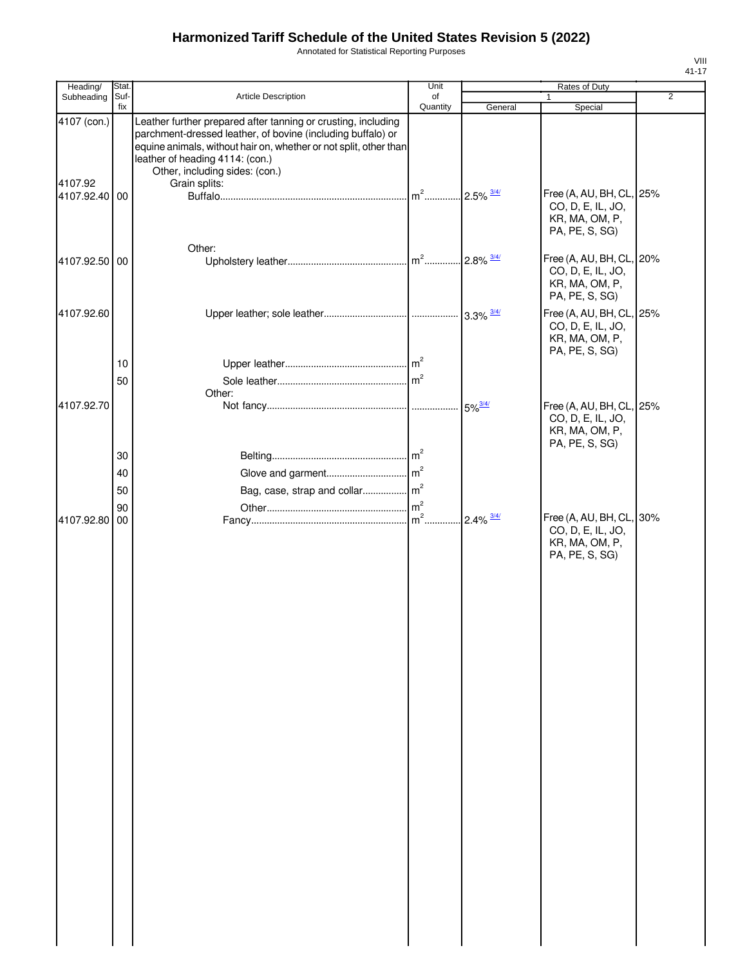Annotated for Statistical Reporting Purposes

| Heading/               | Stat.       |                                                                                                                                                                                                                                                                        | Unit           |                       | Rates of Duty                                                                     |                |
|------------------------|-------------|------------------------------------------------------------------------------------------------------------------------------------------------------------------------------------------------------------------------------------------------------------------------|----------------|-----------------------|-----------------------------------------------------------------------------------|----------------|
| Subheading             | Suf-<br>fix | Article Description                                                                                                                                                                                                                                                    | of             |                       | $\mathbf{1}$                                                                      | $\overline{2}$ |
| 4107 (con.)<br>4107.92 |             | Leather further prepared after tanning or crusting, including<br>parchment-dressed leather, of bovine (including buffalo) or<br>equine animals, without hair on, whether or not split, other than<br>leather of heading 4114: (con.)<br>Other, including sides: (con.) | Quantity       | General               | Special                                                                           |                |
| 4107.92.40 00          |             | Grain splits:                                                                                                                                                                                                                                                          | $m^2$          | $2.5\% \frac{3/4}{ }$ | Free (A, AU, BH, CL, 25%<br>CO, D, E, IL, JO,<br>KR, MA, OM, P,<br>PA, PE, S, SG) |                |
| 4107.92.50 00          |             | Other:                                                                                                                                                                                                                                                                 |                |                       | Free (A, AU, BH, CL, 20%<br>CO, D, E, IL, JO,<br>KR, MA, OM, P,<br>PA, PE, S, SG) |                |
| 4107.92.60             |             |                                                                                                                                                                                                                                                                        |                |                       | Free (A, AU, BH, CL, 25%<br>CO, D, E, IL, JO,<br>KR, MA, OM, P,<br>PA, PE, S, SG) |                |
|                        | 10<br>50    |                                                                                                                                                                                                                                                                        | m <sup>2</sup> |                       |                                                                                   |                |
| 4107.92.70             |             | Other:                                                                                                                                                                                                                                                                 |                | $5\%$ <sup>3/4/</sup> | Free (A, AU, BH, CL, 25%<br>CO, D, E, IL, JO,<br>KR, MA, OM, P,<br>PA, PE, S, SG) |                |
|                        | 30          |                                                                                                                                                                                                                                                                        |                |                       |                                                                                   |                |
|                        | 40          |                                                                                                                                                                                                                                                                        |                |                       |                                                                                   |                |
|                        | 50          |                                                                                                                                                                                                                                                                        |                |                       |                                                                                   |                |
|                        | 90          |                                                                                                                                                                                                                                                                        |                |                       |                                                                                   |                |
| 4107.92.80 00          |             |                                                                                                                                                                                                                                                                        | $m2$ .         | $2.4\% \frac{3/4}{ }$ | Free (A, AU, BH, CL, 30%<br>CO, D, E, IL, JO,<br>KR, MA, OM, P,<br>PA, PE, S, SG) |                |
|                        |             |                                                                                                                                                                                                                                                                        |                |                       |                                                                                   |                |
|                        |             |                                                                                                                                                                                                                                                                        |                |                       |                                                                                   |                |
|                        |             |                                                                                                                                                                                                                                                                        |                |                       |                                                                                   |                |
|                        |             |                                                                                                                                                                                                                                                                        |                |                       |                                                                                   |                |
|                        |             |                                                                                                                                                                                                                                                                        |                |                       |                                                                                   |                |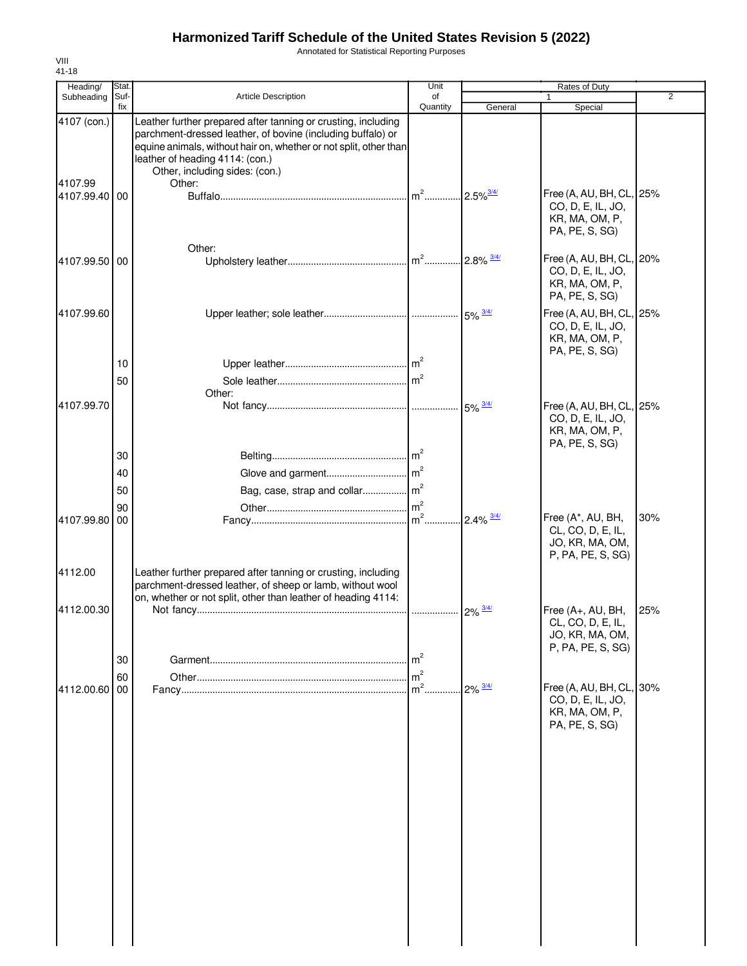Annotated for Statistical Reporting Purposes

| Heading/                 | Stat.       |                                                                                                                                                                                                                                                                        | Unit            |                          | Rates of Duty                                                                     |                |
|--------------------------|-------------|------------------------------------------------------------------------------------------------------------------------------------------------------------------------------------------------------------------------------------------------------------------------|-----------------|--------------------------|-----------------------------------------------------------------------------------|----------------|
| Subheading               | Suf-<br>fix | <b>Article Description</b>                                                                                                                                                                                                                                             | of<br>Quantity  | General                  | Special                                                                           | $\overline{2}$ |
| 4107 (con.)              |             | Leather further prepared after tanning or crusting, including<br>parchment-dressed leather, of bovine (including buffalo) or<br>equine animals, without hair on, whether or not split, other than<br>leather of heading 4114: (con.)<br>Other, including sides: (con.) |                 |                          |                                                                                   |                |
| 4107.99<br>4107.99.40 00 |             | Other:                                                                                                                                                                                                                                                                 | $\mathsf{Im}^2$ | $.2.5\%$ <sup>3/4/</sup> | Free (A, AU, BH, CL, 25%<br>CO, D, E, IL, JO,<br>KR, MA, OM, P,<br>PA, PE, S, SG) |                |
| 4107.99.50 00            |             | Other:                                                                                                                                                                                                                                                                 |                 |                          | Free (A, AU, BH, CL, 20%<br>CO, D, E, IL, JO,<br>KR, MA, OM, P,<br>PA, PE, S, SG) |                |
| 4107.99.60               |             |                                                                                                                                                                                                                                                                        |                 |                          | Free (A, AU, BH, CL, 25%<br>CO, D, E, IL, JO,<br>KR, MA, OM, P,<br>PA, PE, S, SG) |                |
|                          | 10<br>50    |                                                                                                                                                                                                                                                                        | m <sup>2</sup>  |                          |                                                                                   |                |
| 4107.99.70               |             | Other:                                                                                                                                                                                                                                                                 |                 |                          | Free (A, AU, BH, CL, 25%<br>CO, D, E, IL, JO,<br>KR, MA, OM, P,                   |                |
|                          | 30<br>40    |                                                                                                                                                                                                                                                                        |                 |                          | PA, PE, S, SG)                                                                    |                |
|                          | 50          | Bag, case, strap and collar m <sup>2</sup>                                                                                                                                                                                                                             |                 |                          |                                                                                   |                |
| 4107.99.80               | 90<br>00    |                                                                                                                                                                                                                                                                        | $m2$ .          | $2.4\%$ $\frac{3/4/}{ }$ | Free (A*, AU, BH,<br>CL, CO, D, E, IL,<br>JO, KR, MA, OM,<br>P, PA, PE, S, SG)    | 30%            |
| 4112.00                  |             | Leather further prepared after tanning or crusting, including<br>parchment-dressed leather, of sheep or lamb, without wool<br>on, whether or not split, other than leather of heading 4114:                                                                            |                 |                          |                                                                                   |                |
| 4112.00.30               |             |                                                                                                                                                                                                                                                                        |                 |                          | Free (A+, AU, BH,<br>CL, CO, D, E, IL,<br>JO, KR, MA, OM,<br>P, PA, PE, S, SG)    | 25%            |
|                          | 30          |                                                                                                                                                                                                                                                                        | m <sup>2</sup>  |                          |                                                                                   |                |
|                          | 60          |                                                                                                                                                                                                                                                                        | m <sup>2</sup>  |                          |                                                                                   |                |
| 4112.00.60               | 00          |                                                                                                                                                                                                                                                                        | $m2$ .          | $2\% \frac{3/4}{ }$      | Free (A, AU, BH, CL, 30%<br>CO, D, E, IL, JO,<br>KR, MA, OM, P,<br>PA, PE, S, SG) |                |
|                          |             |                                                                                                                                                                                                                                                                        |                 |                          |                                                                                   |                |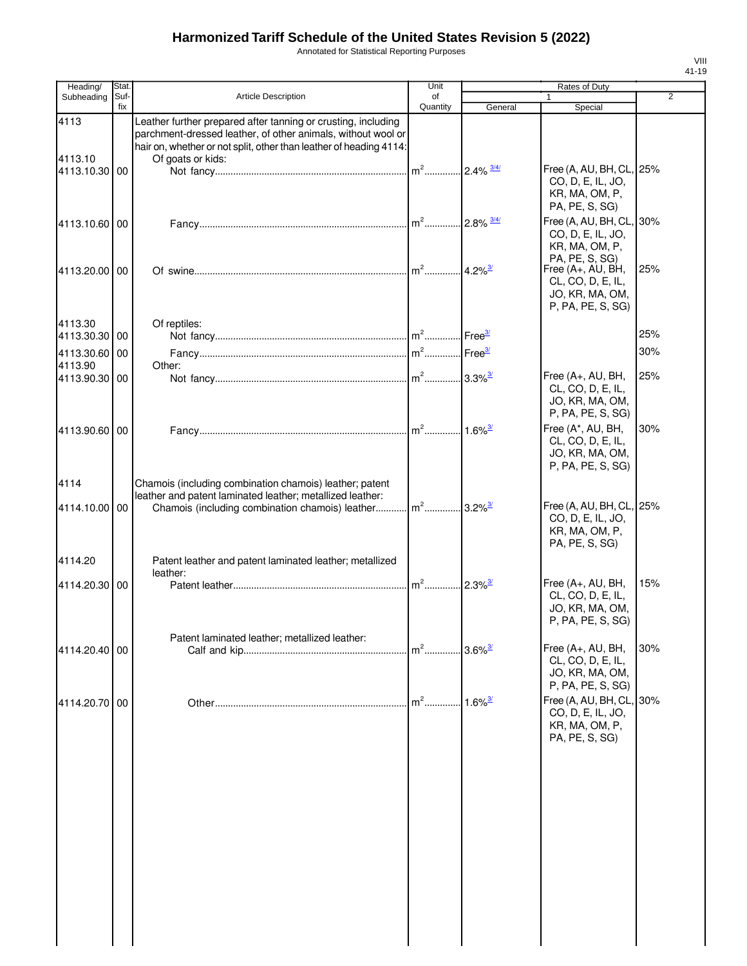Annotated for Statistical Reporting Purposes

| Heading/                 | Stat.       |                                                                                                                                                                                                     | Unit           |                          | <b>Rates of Duty</b>                                                                             |     |
|--------------------------|-------------|-----------------------------------------------------------------------------------------------------------------------------------------------------------------------------------------------------|----------------|--------------------------|--------------------------------------------------------------------------------------------------|-----|
| Subheading               | Suf-<br>fix | <b>Article Description</b>                                                                                                                                                                          | οf<br>Quantity | General                  | Special                                                                                          | 2   |
| 4113                     |             | Leather further prepared after tanning or crusting, including<br>parchment-dressed leather, of other animals, without wool or<br>hair on, whether or not split, other than leather of heading 4114: |                |                          |                                                                                                  |     |
| 4113.10<br>4113.10.30 00 |             | Of goats or kids:                                                                                                                                                                                   | $m^2$          | $2.4\%$ $\frac{3/4/}{ }$ | Free (A, AU, BH, CL, 25%<br>CO, D, E, IL, JO,<br>KR, MA, OM, P,<br>PA, PE, S, SG)                |     |
| 4113.10.60 00            |             |                                                                                                                                                                                                     | $m2$           | $2.8\%$ $\frac{3/4/}{ }$ | Free (A, AU, BH, CL,<br>CO, D, E, IL, JO,<br>KR, MA, OM, P,                                      | 30% |
| 4113.20.00 00            |             |                                                                                                                                                                                                     |                | $4.2\%$ <sup>3/</sup>    | PA, PE, S, SG)<br>Free (A+, AU, BH,<br>CL, CO, D, E, IL,<br>JO, KR, MA, OM,<br>P, PA, PE, S, SG) | 25% |
| 4113.30<br>4113.30.30 00 |             | Of reptiles:                                                                                                                                                                                        |                | Free <sup>37</sup>       |                                                                                                  | 25% |
| 4113.30.60               | 00          |                                                                                                                                                                                                     | $m2$           | Free <sup>3/</sup>       |                                                                                                  | 30% |
| 4113.90<br>4113.90.30 00 |             | Other:                                                                                                                                                                                              | $m2$           | $3.3\%$ <sup>3/</sup>    | Free (A+, AU, BH,                                                                                | 25% |
|                          |             |                                                                                                                                                                                                     |                |                          | CL, CO, D, E, IL,<br>JO, KR, MA, OM,<br>P, PA, PE, S, SG)                                        |     |
| 4113.90.60 00            |             |                                                                                                                                                                                                     | $m2$           | $1.6\%$ <sup>3/</sup>    | Free (A*, AU, BH,<br>CL, CO, D, E, IL,<br>JO, KR, MA, OM,<br>P, PA, PE, S, SG)                   | 30% |
| 4114                     |             | Chamois (including combination chamois) leather; patent<br>leather and patent laminated leather; metallized leather:                                                                                |                |                          |                                                                                                  |     |
| 4114.10.00 00            |             | Chamois (including combination chamois) leather                                                                                                                                                     | $m^2$          | $.3.2\%$ <sup>3/</sup>   | Free (A, AU, BH, CL, 25%<br>CO, D, E, IL, JO,<br>KR, MA, OM, P,<br>PA, PE, S, SG)                |     |
| 4114.20                  |             | Patent leather and patent laminated leather; metallized<br>leather:                                                                                                                                 |                |                          |                                                                                                  |     |
| 4114.20.30 00            |             |                                                                                                                                                                                                     | $m2$           | $2.3\%$ <sup>3/</sup>    | Free (A+, AU, BH,<br>CL, CO, D, E, IL,<br>JO, KR, MA, OM,<br>P, PA, PE, S, SG)                   | 15% |
|                          |             | Patent laminated leather; metallized leather:                                                                                                                                                       | $m2$           | $3.6\%$ <sup>3/</sup>    | Free (A+, AU, BH,                                                                                | 30% |
| 4114.20.40   00          |             |                                                                                                                                                                                                     |                |                          | CL, CO, D, E, IL,<br>JO, KR, MA, OM,<br>P, PA, PE, S, SG)                                        |     |
| 4114.20.70 00            |             |                                                                                                                                                                                                     | $m2$ .         | $1.6\%$ <sup>3/</sup>    | Free (A, AU, BH, CL, 30%<br>CO, D, E, IL, JO,<br>KR, MA, OM, P,<br>PA, PE, S, SG)                |     |
|                          |             |                                                                                                                                                                                                     |                |                          |                                                                                                  |     |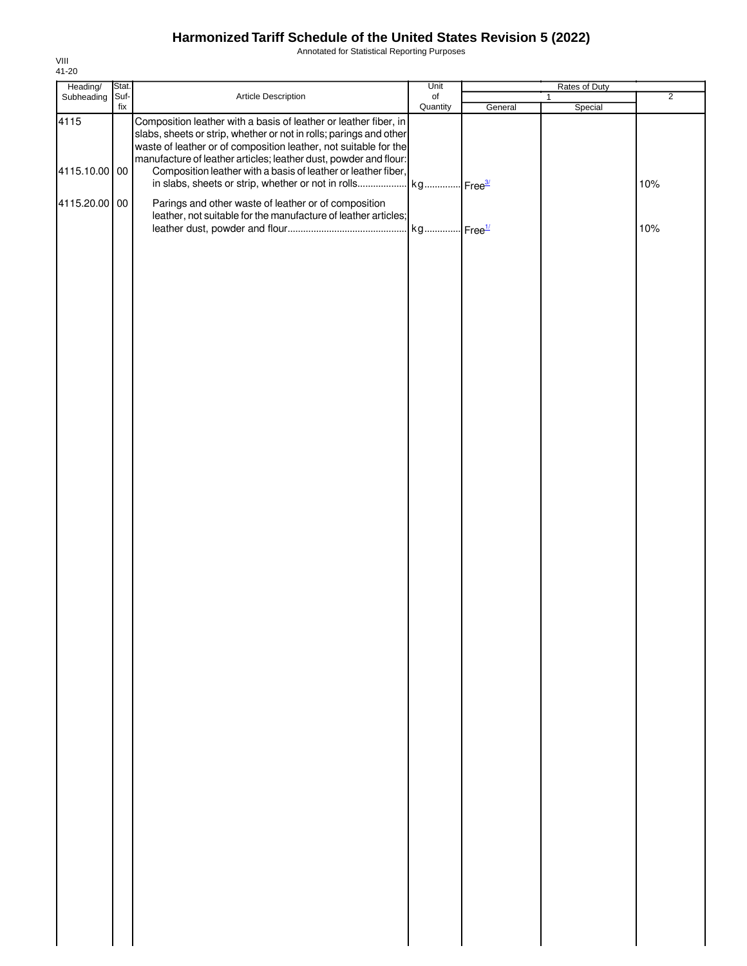Annotated for Statistical Reporting Purposes

| Heading/      | Stat. |                                                                                                                                                                                                                                                                                | Unit      | Rates of Duty |              |                |
|---------------|-------|--------------------------------------------------------------------------------------------------------------------------------------------------------------------------------------------------------------------------------------------------------------------------------|-----------|---------------|--------------|----------------|
| Subheading    | Suf-  | Article Description                                                                                                                                                                                                                                                            | $\circ$ f |               | $\mathbf{1}$ | $\overline{2}$ |
| 4115          | fix   | Composition leather with a basis of leather or leather fiber, in<br>slabs, sheets or strip, whether or not in rolls; parings and other<br>waste of leather or of composition leather, not suitable for the<br>manufacture of leather articles; leather dust, powder and flour: | Quantity  | General       | Special      |                |
| 4115.10.00 00 |       | Composition leather with a basis of leather or leather fiber,                                                                                                                                                                                                                  |           |               |              | 10%            |
| 4115.20.00 00 |       | Parings and other waste of leather or of composition<br>leather, not suitable for the manufacture of leather articles;                                                                                                                                                         |           |               |              | 10%            |
|               |       |                                                                                                                                                                                                                                                                                |           |               |              |                |
|               |       |                                                                                                                                                                                                                                                                                |           |               |              |                |
|               |       |                                                                                                                                                                                                                                                                                |           |               |              |                |
|               |       |                                                                                                                                                                                                                                                                                |           |               |              |                |
|               |       |                                                                                                                                                                                                                                                                                |           |               |              |                |
|               |       |                                                                                                                                                                                                                                                                                |           |               |              |                |
|               |       |                                                                                                                                                                                                                                                                                |           |               |              |                |
|               |       |                                                                                                                                                                                                                                                                                |           |               |              |                |
|               |       |                                                                                                                                                                                                                                                                                |           |               |              |                |
|               |       |                                                                                                                                                                                                                                                                                |           |               |              |                |
|               |       |                                                                                                                                                                                                                                                                                |           |               |              |                |
|               |       |                                                                                                                                                                                                                                                                                |           |               |              |                |
|               |       |                                                                                                                                                                                                                                                                                |           |               |              |                |
|               |       |                                                                                                                                                                                                                                                                                |           |               |              |                |
|               |       |                                                                                                                                                                                                                                                                                |           |               |              |                |
|               |       |                                                                                                                                                                                                                                                                                |           |               |              |                |
|               |       |                                                                                                                                                                                                                                                                                |           |               |              |                |
|               |       |                                                                                                                                                                                                                                                                                |           |               |              |                |
|               |       |                                                                                                                                                                                                                                                                                |           |               |              |                |